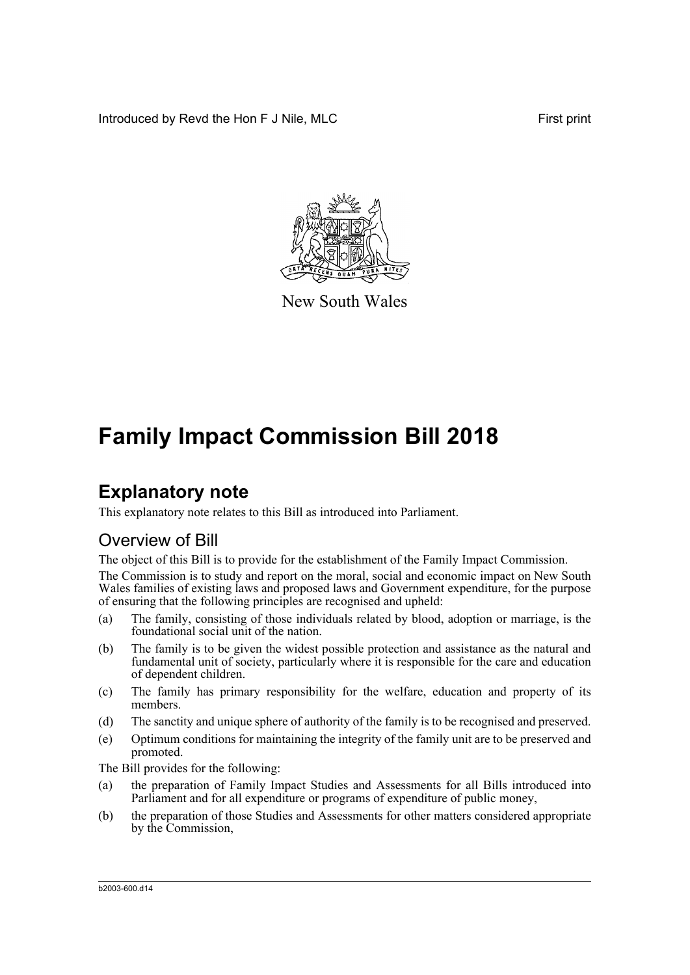Introduced by Revd the Hon F J Nile, MLC First print



New South Wales

# **Family Impact Commission Bill 2018**

# **Explanatory note**

This explanatory note relates to this Bill as introduced into Parliament.

# Overview of Bill

The object of this Bill is to provide for the establishment of the Family Impact Commission.

The Commission is to study and report on the moral, social and economic impact on New South Wales families of existing laws and proposed laws and Government expenditure, for the purpose of ensuring that the following principles are recognised and upheld:

- (a) The family, consisting of those individuals related by blood, adoption or marriage, is the foundational social unit of the nation.
- (b) The family is to be given the widest possible protection and assistance as the natural and fundamental unit of society, particularly where it is responsible for the care and education of dependent children.
- (c) The family has primary responsibility for the welfare, education and property of its members.
- (d) The sanctity and unique sphere of authority of the family is to be recognised and preserved.
- (e) Optimum conditions for maintaining the integrity of the family unit are to be preserved and promoted.

The Bill provides for the following:

- (a) the preparation of Family Impact Studies and Assessments for all Bills introduced into Parliament and for all expenditure or programs of expenditure of public money,
- (b) the preparation of those Studies and Assessments for other matters considered appropriate by the Commission,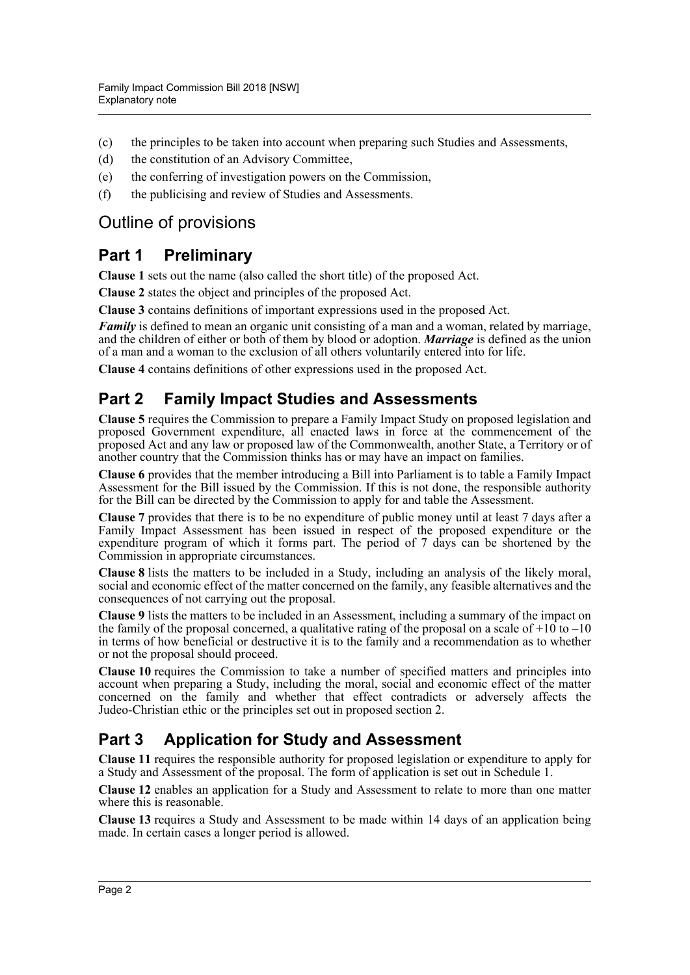- (c) the principles to be taken into account when preparing such Studies and Assessments,
- (d) the constitution of an Advisory Committee,
- (e) the conferring of investigation powers on the Commission,
- (f) the publicising and review of Studies and Assessments.

# Outline of provisions

# **Part 1 Preliminary**

**Clause 1** sets out the name (also called the short title) of the proposed Act.

**Clause 2** states the object and principles of the proposed Act.

**Clause 3** contains definitions of important expressions used in the proposed Act.

*Family* is defined to mean an organic unit consisting of a man and a woman, related by marriage, and the children of either or both of them by blood or adoption. *Marriage* is defined as the union of a man and a woman to the exclusion of all others voluntarily entered into for life.

**Clause 4** contains definitions of other expressions used in the proposed Act.

# **Part 2 Family Impact Studies and Assessments**

**Clause 5** requires the Commission to prepare a Family Impact Study on proposed legislation and proposed Government expenditure, all enacted laws in force at the commencement of the proposed Act and any law or proposed law of the Commonwealth, another State, a Territory or of another country that the Commission thinks has or may have an impact on families.

**Clause 6** provides that the member introducing a Bill into Parliament is to table a Family Impact Assessment for the Bill issued by the Commission. If this is not done, the responsible authority for the Bill can be directed by the Commission to apply for and table the Assessment.

**Clause 7** provides that there is to be no expenditure of public money until at least 7 days after a Family Impact Assessment has been issued in respect of the proposed expenditure or the expenditure program of which it forms part. The period of 7 days can be shortened by the Commission in appropriate circumstances.

**Clause 8** lists the matters to be included in a Study, including an analysis of the likely moral, social and economic effect of the matter concerned on the family, any feasible alternatives and the consequences of not carrying out the proposal.

**Clause 9** lists the matters to be included in an Assessment, including a summary of the impact on the family of the proposal concerned, a qualitative rating of the proposal on a scale of  $+10$  to  $-10$ in terms of how beneficial or destructive it is to the family and a recommendation as to whether or not the proposal should proceed.

**Clause 10** requires the Commission to take a number of specified matters and principles into account when preparing a Study, including the moral, social and economic effect of the matter concerned on the family and whether that effect contradicts or adversely affects the Judeo-Christian ethic or the principles set out in proposed section 2.

# **Part 3 Application for Study and Assessment**

**Clause 11** requires the responsible authority for proposed legislation or expenditure to apply for a Study and Assessment of the proposal. The form of application is set out in Schedule 1.

**Clause 12** enables an application for a Study and Assessment to relate to more than one matter where this is reasonable.

**Clause 13** requires a Study and Assessment to be made within 14 days of an application being made. In certain cases a longer period is allowed.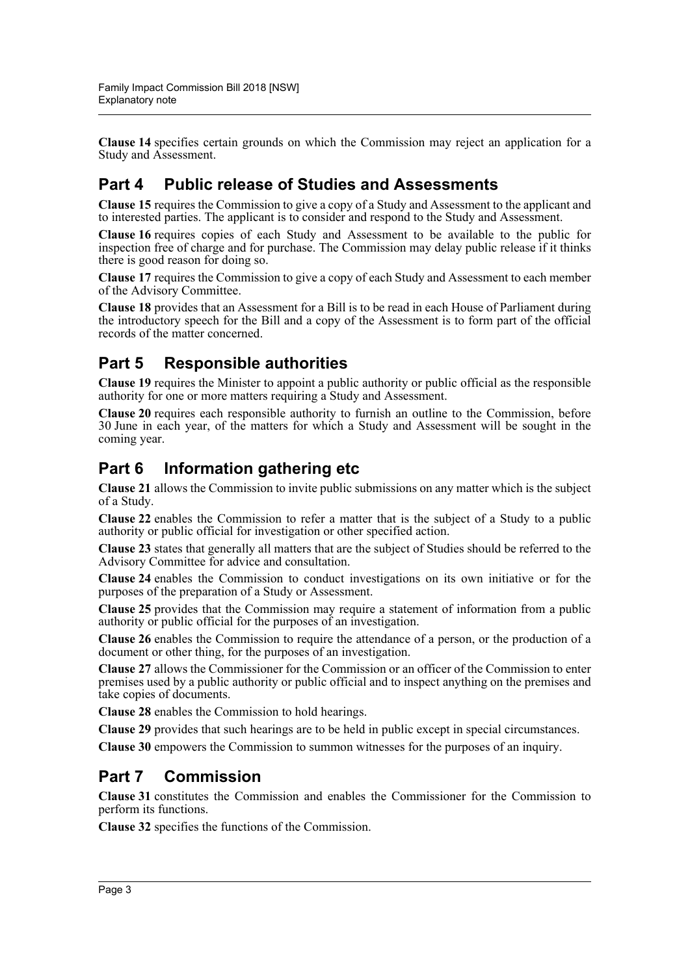**Clause 14** specifies certain grounds on which the Commission may reject an application for a Study and Assessment.

# **Part 4 Public release of Studies and Assessments**

**Clause 15** requires the Commission to give a copy of a Study and Assessment to the applicant and to interested parties. The applicant is to consider and respond to the Study and Assessment.

**Clause 16** requires copies of each Study and Assessment to be available to the public for inspection free of charge and for purchase. The Commission may delay public release if it thinks there is good reason for doing so.

**Clause 17** requires the Commission to give a copy of each Study and Assessment to each member of the Advisory Committee.

**Clause 18** provides that an Assessment for a Bill is to be read in each House of Parliament during the introductory speech for the Bill and a copy of the Assessment is to form part of the official records of the matter concerned.

# **Part 5 Responsible authorities**

**Clause 19** requires the Minister to appoint a public authority or public official as the responsible authority for one or more matters requiring a Study and Assessment.

**Clause 20** requires each responsible authority to furnish an outline to the Commission, before 30 June in each year, of the matters for which a Study and Assessment will be sought in the coming year.

# **Part 6 Information gathering etc**

**Clause 21** allows the Commission to invite public submissions on any matter which is the subject of a Study.

**Clause 22** enables the Commission to refer a matter that is the subject of a Study to a public authority or public official for investigation or other specified action.

**Clause 23** states that generally all matters that are the subject of Studies should be referred to the Advisory Committee for advice and consultation.

**Clause 24** enables the Commission to conduct investigations on its own initiative or for the purposes of the preparation of a Study or Assessment.

**Clause 25** provides that the Commission may require a statement of information from a public authority or public official for the purposes of an investigation.

**Clause 26** enables the Commission to require the attendance of a person, or the production of a document or other thing, for the purposes of an investigation.

**Clause 27** allows the Commissioner for the Commission or an officer of the Commission to enter premises used by a public authority or public official and to inspect anything on the premises and take copies of documents.

**Clause 28** enables the Commission to hold hearings.

**Clause 29** provides that such hearings are to be held in public except in special circumstances.

**Clause 30** empowers the Commission to summon witnesses for the purposes of an inquiry.

### **Part 7 Commission**

**Clause 31** constitutes the Commission and enables the Commissioner for the Commission to perform its functions.

**Clause 32** specifies the functions of the Commission.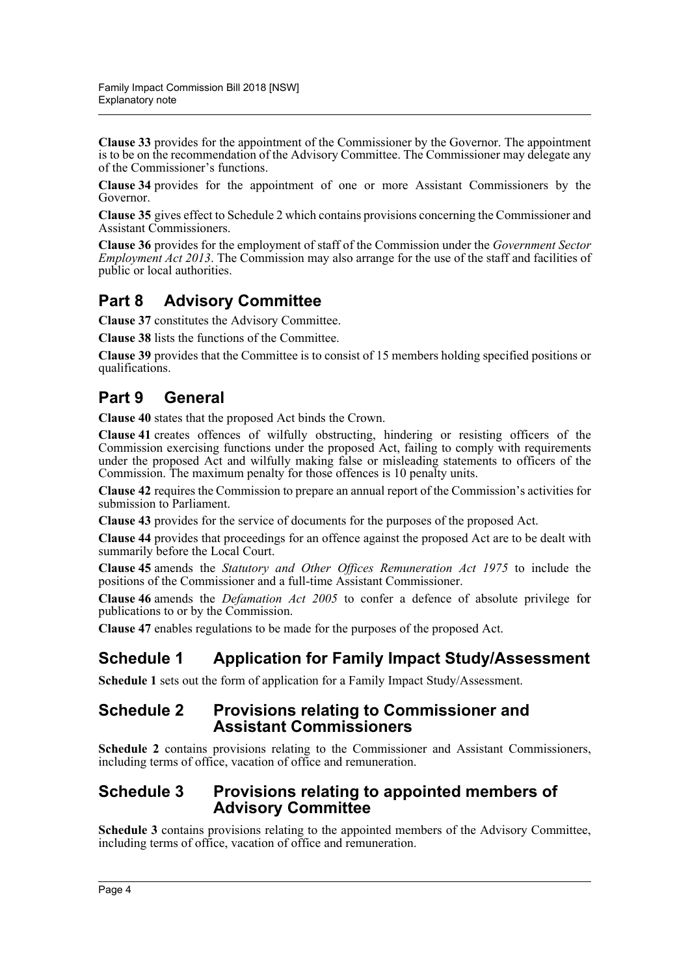**Clause 33** provides for the appointment of the Commissioner by the Governor. The appointment is to be on the recommendation of the Advisory Committee. The Commissioner may delegate any of the Commissioner's functions.

**Clause 34** provides for the appointment of one or more Assistant Commissioners by the Governor.

**Clause 35** gives effect to Schedule 2 which contains provisions concerning the Commissioner and Assistant Commissioners.

**Clause 36** provides for the employment of staff of the Commission under the *Government Sector Employment Act 2013*. The Commission may also arrange for the use of the staff and facilities of public or local authorities.

# **Part 8 Advisory Committee**

**Clause 37** constitutes the Advisory Committee.

**Clause 38** lists the functions of the Committee.

**Clause 39** provides that the Committee is to consist of 15 members holding specified positions or qualifications.

# **Part 9 General**

**Clause 40** states that the proposed Act binds the Crown.

**Clause 41** creates offences of wilfully obstructing, hindering or resisting officers of the Commission exercising functions under the proposed Act, failing to comply with requirements under the proposed Act and wilfully making false or misleading statements to officers of the Commission. The maximum penalty for those offences is 10 penalty units.

**Clause 42** requires the Commission to prepare an annual report of the Commission's activities for submission to Parliament.

**Clause 43** provides for the service of documents for the purposes of the proposed Act.

**Clause 44** provides that proceedings for an offence against the proposed Act are to be dealt with summarily before the Local Court.

**Clause 45** amends the *Statutory and Other Offices Remuneration Act 1975* to include the positions of the Commissioner and a full-time Assistant Commissioner.

**Clause 46** amends the *Defamation Act 2005* to confer a defence of absolute privilege for publications to or by the Commission.

**Clause 47** enables regulations to be made for the purposes of the proposed Act.

# **Schedule 1 Application for Family Impact Study/Assessment**

**Schedule 1** sets out the form of application for a Family Impact Study/Assessment.

#### **Schedule 2 Provisions relating to Commissioner and Assistant Commissioners**

**Schedule 2** contains provisions relating to the Commissioner and Assistant Commissioners, including terms of office, vacation of office and remuneration.

### **Schedule 3 Provisions relating to appointed members of Advisory Committee**

**Schedule 3** contains provisions relating to the appointed members of the Advisory Committee, including terms of office, vacation of office and remuneration.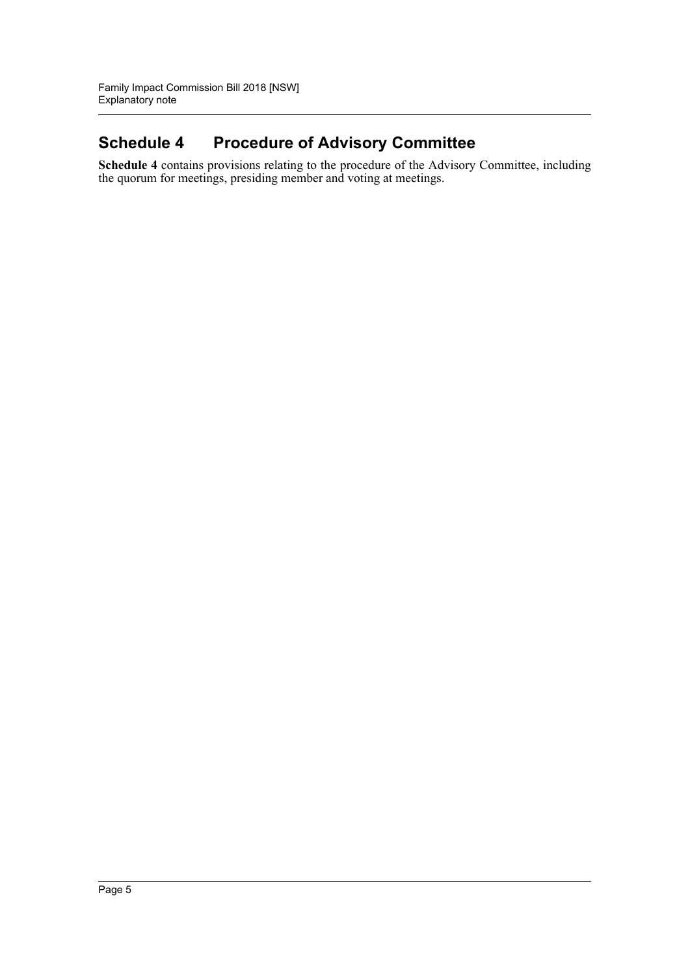# **Schedule 4 Procedure of Advisory Committee**

**Schedule 4** contains provisions relating to the procedure of the Advisory Committee, including the quorum for meetings, presiding member and voting at meetings.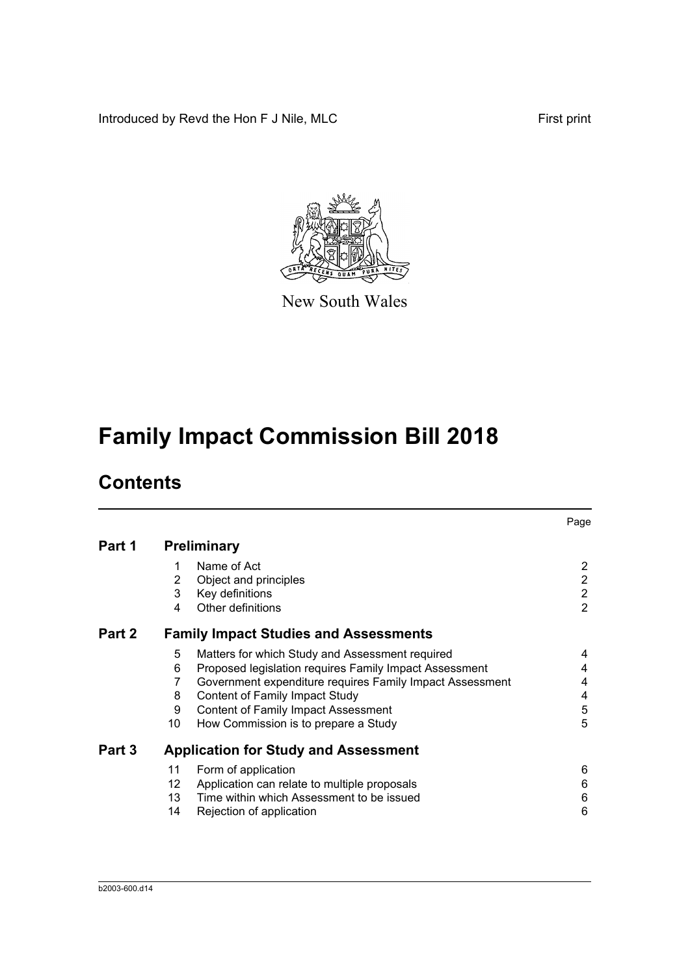Introduced by Revd the Hon F J Nile, MLC First print



New South Wales

# **Family Impact Commission Bill 2018**

# **Contents**

|        |     |                                                          | Page           |
|--------|-----|----------------------------------------------------------|----------------|
| Part 1 |     | <b>Preliminary</b>                                       |                |
|        | 1   | Name of Act                                              | 2              |
|        | 2   | Object and principles                                    | $\overline{2}$ |
|        | 3   | Key definitions                                          | $\overline{2}$ |
|        | 4   | Other definitions                                        | $\overline{2}$ |
| Part 2 |     | <b>Family Impact Studies and Assessments</b>             |                |
|        | 5   | Matters for which Study and Assessment required          | 4              |
|        | 6   | Proposed legislation requires Family Impact Assessment   | 4              |
|        | 7   | Government expenditure requires Family Impact Assessment | 4              |
|        | 8   | <b>Content of Family Impact Study</b>                    | 4              |
|        | 9   | <b>Content of Family Impact Assessment</b>               | 5              |
|        | 10  | How Commission is to prepare a Study                     | 5              |
| Part 3 |     | <b>Application for Study and Assessment</b>              |                |
|        | 11  | Form of application                                      | 6              |
|        | 12  | Application can relate to multiple proposals             | 6              |
|        | 13. | Time within which Assessment to be issued                | 6              |
|        | 14  | Rejection of application                                 | 6              |
|        |     |                                                          |                |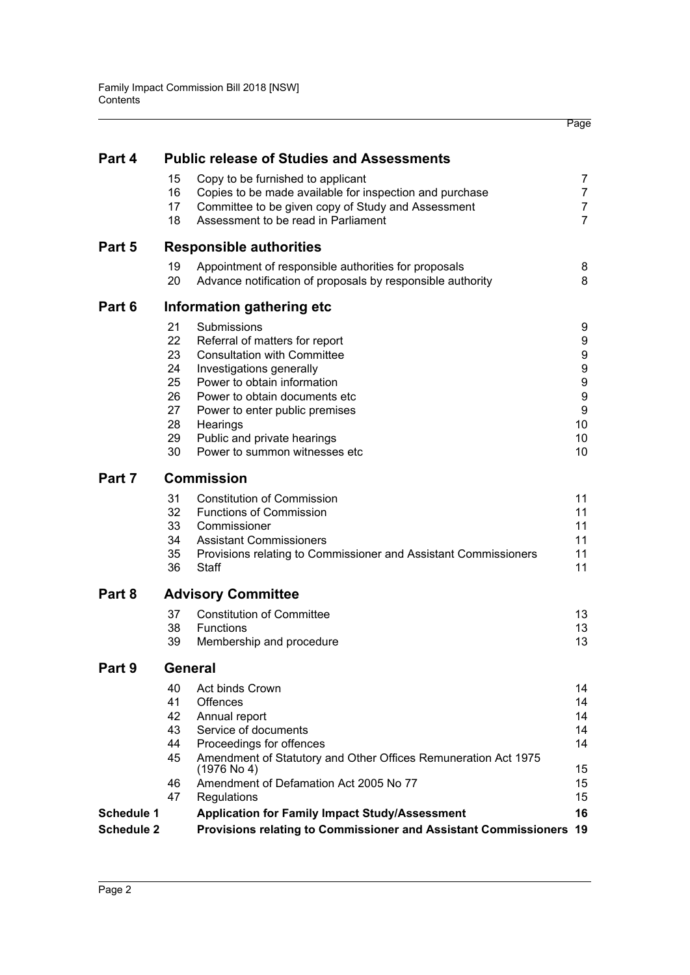| Part 4            |                | <b>Public release of Studies and Assessments</b>                                             |                     |
|-------------------|----------------|----------------------------------------------------------------------------------------------|---------------------|
|                   |                |                                                                                              |                     |
|                   | 15<br>16       | Copy to be furnished to applicant<br>Copies to be made available for inspection and purchase | 7<br>$\overline{7}$ |
|                   | 17             | Committee to be given copy of Study and Assessment                                           | 7                   |
|                   | 18             | Assessment to be read in Parliament                                                          | 7                   |
| Part 5            |                | <b>Responsible authorities</b>                                                               |                     |
|                   | 19             | Appointment of responsible authorities for proposals                                         | 8                   |
|                   | 20             | Advance notification of proposals by responsible authority                                   | 8                   |
| Part 6            |                | Information gathering etc                                                                    |                     |
|                   | 21             | Submissions                                                                                  | 9                   |
|                   | 22             | Referral of matters for report                                                               | 9                   |
|                   | 23             | <b>Consultation with Committee</b>                                                           | 9                   |
|                   | 24             | Investigations generally                                                                     | 9                   |
|                   | 25             | Power to obtain information                                                                  | 9                   |
|                   | 26             | Power to obtain documents etc                                                                | 9                   |
|                   | 27<br>28       | Power to enter public premises                                                               | 9<br>10             |
|                   | 29             | Hearings<br>Public and private hearings                                                      | 10                  |
|                   | 30             | Power to summon witnesses etc                                                                | 10                  |
| Part 7            |                | <b>Commission</b>                                                                            |                     |
|                   | 31             | <b>Constitution of Commission</b>                                                            | 11                  |
|                   | 32             | <b>Functions of Commission</b>                                                               | 11                  |
|                   | 33             | Commissioner                                                                                 | 11                  |
|                   | 34             | <b>Assistant Commissioners</b>                                                               | 11                  |
|                   | 35             | Provisions relating to Commissioner and Assistant Commissioners                              | 11                  |
|                   | 36             | Staff                                                                                        | 11                  |
| Part 8            |                | <b>Advisory Committee</b>                                                                    |                     |
|                   | 37             | <b>Constitution of Committee</b>                                                             | 13                  |
|                   | 38             | Functions                                                                                    | 13                  |
|                   | 39             | Membership and procedure                                                                     | 13                  |
| Part 9            | <b>General</b> |                                                                                              |                     |
|                   | 40             | Act binds Crown                                                                              | 14                  |
|                   | 41             | <b>Offences</b>                                                                              | 14                  |
|                   | 42             | Annual report                                                                                | 14                  |
|                   | 43             | Service of documents                                                                         | 14                  |
|                   | 44             | Proceedings for offences                                                                     | 14                  |
|                   | 45             | Amendment of Statutory and Other Offices Remuneration Act 1975<br>$(1976$ No 4)              | 15                  |
|                   | 46             | Amendment of Defamation Act 2005 No 77                                                       | 15                  |
|                   | 47             | Regulations                                                                                  | 15                  |
| <b>Schedule 1</b> |                | <b>Application for Family Impact Study/Assessment</b>                                        | 16                  |
| <b>Schedule 2</b> |                | Provisions relating to Commissioner and Assistant Commissioners                              | 19                  |

Page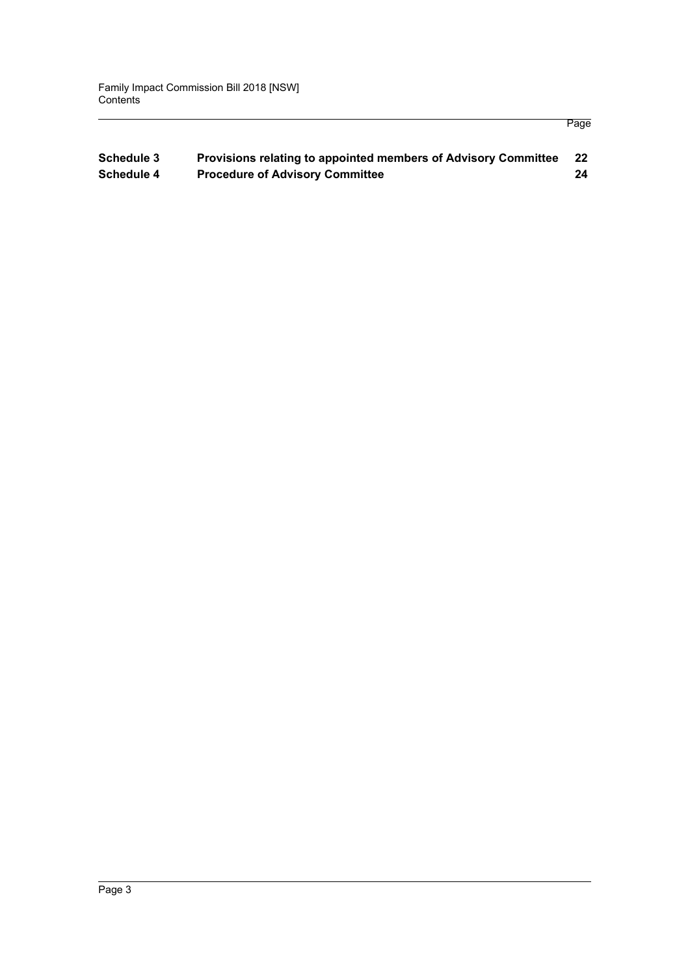#### **[Schedule 3 Provisions relating to appointed members of Advisory Committee 22](#page-29-0) [Schedule 4 Procedure of Advisory Committee 24](#page-31-0)**

Page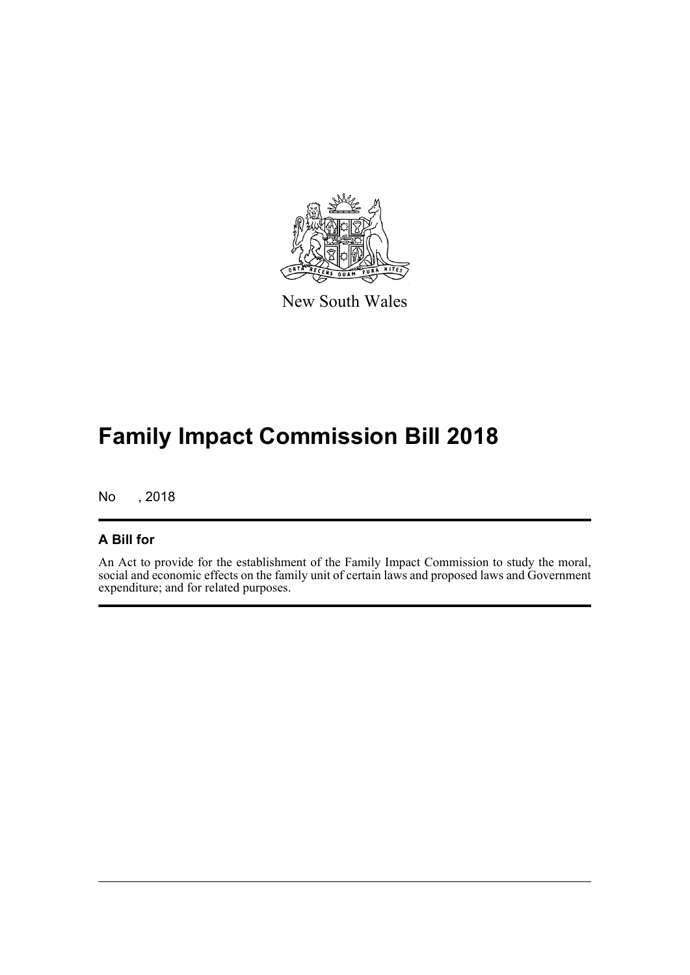

New South Wales

# **Family Impact Commission Bill 2018**

No , 2018

#### **A Bill for**

An Act to provide for the establishment of the Family Impact Commission to study the moral, social and economic effects on the family unit of certain laws and proposed laws and Government expenditure; and for related purposes.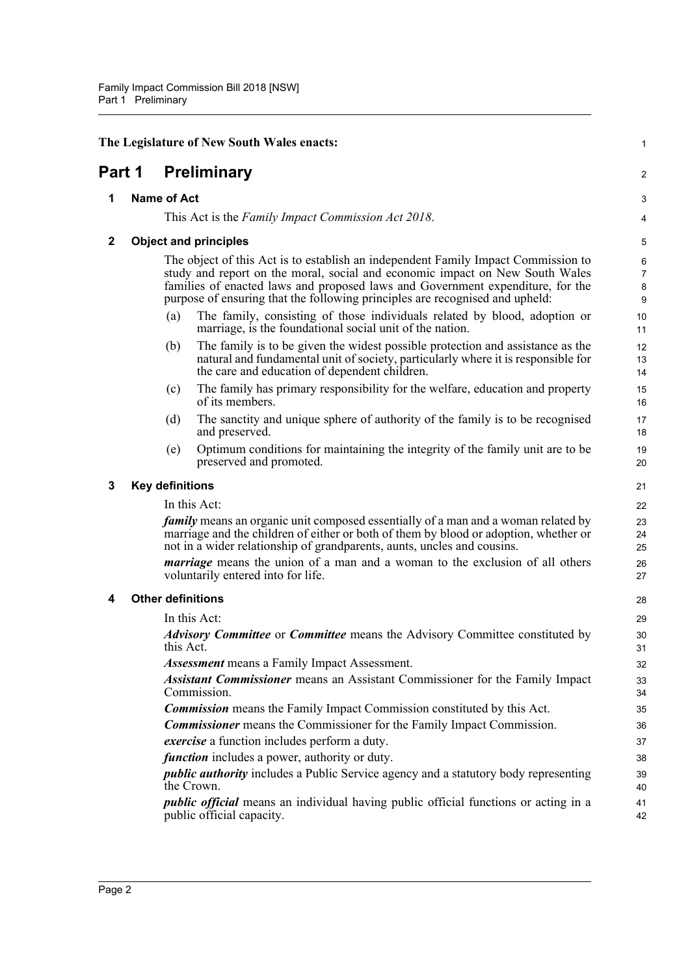<span id="page-9-4"></span><span id="page-9-3"></span><span id="page-9-2"></span><span id="page-9-1"></span><span id="page-9-0"></span>

|              | The Legislature of New South Wales enacts:                                                                                                                                                                                                                                                                                          | 1                             |
|--------------|-------------------------------------------------------------------------------------------------------------------------------------------------------------------------------------------------------------------------------------------------------------------------------------------------------------------------------------|-------------------------------|
| Part 1       | <b>Preliminary</b>                                                                                                                                                                                                                                                                                                                  | 2                             |
| 1            | <b>Name of Act</b>                                                                                                                                                                                                                                                                                                                  | 3                             |
|              | This Act is the Family Impact Commission Act 2018.                                                                                                                                                                                                                                                                                  | $\overline{\mathbf{4}}$       |
| $\mathbf{2}$ | <b>Object and principles</b>                                                                                                                                                                                                                                                                                                        | 5                             |
|              | The object of this Act is to establish an independent Family Impact Commission to<br>study and report on the moral, social and economic impact on New South Wales<br>families of enacted laws and proposed laws and Government expenditure, for the<br>purpose of ensuring that the following principles are recognised and upheld: | 6<br>$\overline{7}$<br>8<br>9 |
|              | The family, consisting of those individuals related by blood, adoption or<br>(a)<br>marriage, is the foundational social unit of the nation.                                                                                                                                                                                        | 10<br>11                      |
|              | The family is to be given the widest possible protection and assistance as the<br>(b)<br>natural and fundamental unit of society, particularly where it is responsible for<br>the care and education of dependent children.                                                                                                         | 12<br>13<br>14                |
|              | The family has primary responsibility for the welfare, education and property<br>(c)<br>of its members.                                                                                                                                                                                                                             | 15<br>16                      |
|              | The sanctity and unique sphere of authority of the family is to be recognised<br>(d)<br>and preserved.                                                                                                                                                                                                                              | 17<br>18                      |
|              | Optimum conditions for maintaining the integrity of the family unit are to be<br>(e)<br>preserved and promoted.                                                                                                                                                                                                                     | 19<br>20                      |
| 3            | <b>Key definitions</b>                                                                                                                                                                                                                                                                                                              | 21                            |
|              | In this Act:                                                                                                                                                                                                                                                                                                                        | 22                            |
|              | <i>family</i> means an organic unit composed essentially of a man and a woman related by<br>marriage and the children of either or both of them by blood or adoption, whether or<br>not in a wider relationship of grandparents, aunts, uncles and cousins.                                                                         | 23<br>24<br>25                |
|              | <i>marriage</i> means the union of a man and a woman to the exclusion of all others<br>voluntarily entered into for life.                                                                                                                                                                                                           | 26<br>27                      |
| 4            | <b>Other definitions</b>                                                                                                                                                                                                                                                                                                            | 28                            |
|              | In this Act:                                                                                                                                                                                                                                                                                                                        | 29                            |
|              | <b>Advisory Committee</b> or <b>Committee</b> means the Advisory Committee constituted by<br>this Act.                                                                                                                                                                                                                              | 30<br>31                      |
|              | <b>Assessment</b> means a Family Impact Assessment.                                                                                                                                                                                                                                                                                 | 32                            |
|              | <b>Assistant Commissioner</b> means an Assistant Commissioner for the Family Impact<br>Commission.                                                                                                                                                                                                                                  | 33<br>34                      |
|              | <b>Commission</b> means the Family Impact Commission constituted by this Act.                                                                                                                                                                                                                                                       | 35                            |
|              | <b>Commissioner</b> means the Commissioner for the Family Impact Commission.                                                                                                                                                                                                                                                        | 36                            |
|              | exercise a function includes perform a duty.                                                                                                                                                                                                                                                                                        | 37                            |
|              | <i>function</i> includes a power, authority or duty.                                                                                                                                                                                                                                                                                | 38                            |
|              | <i>public authority</i> includes a Public Service agency and a statutory body representing<br>the Crown.                                                                                                                                                                                                                            | 39<br>40                      |
|              | <i>public official</i> means an individual having public official functions or acting in a<br>public official capacity.                                                                                                                                                                                                             | 41<br>42                      |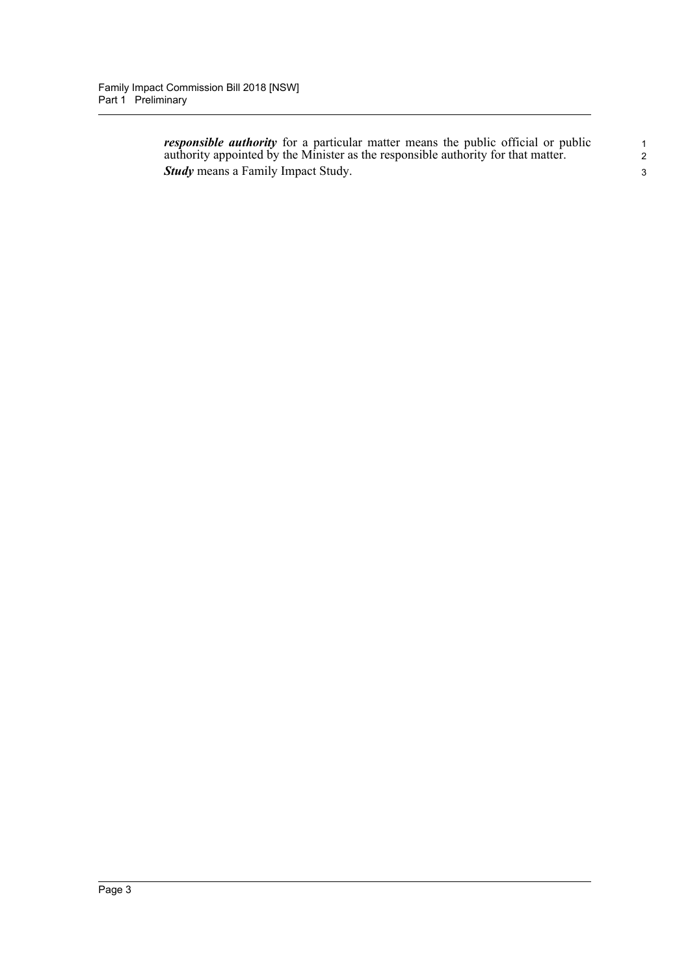*responsible authority* for a particular matter means the public official or public authority appointed by the Minister as the responsible authority for that matter. *Study* means a Family Impact Study.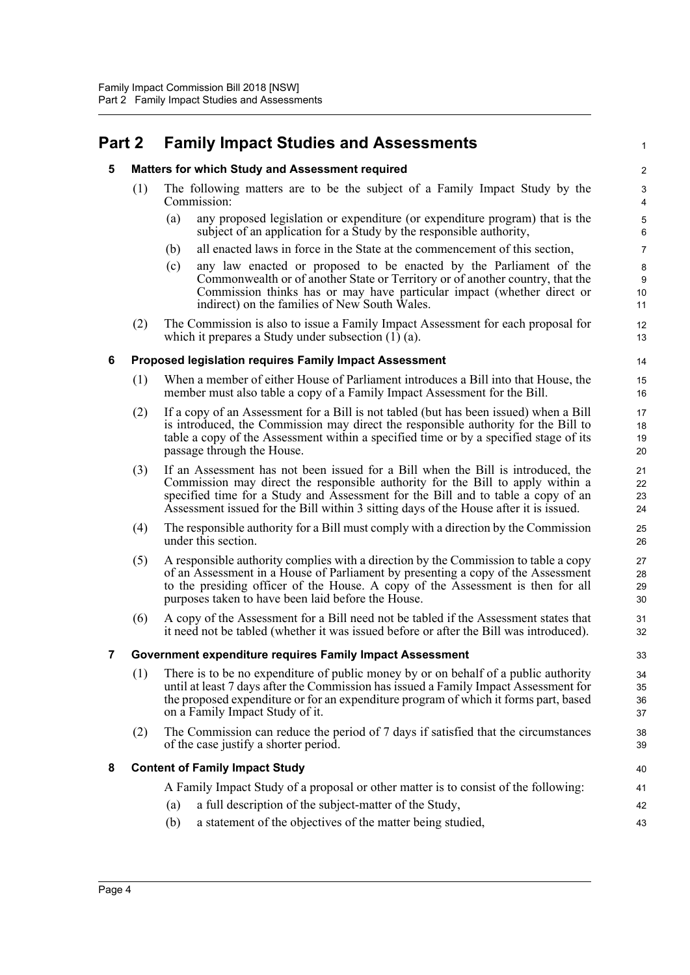## <span id="page-11-1"></span><span id="page-11-0"></span>**Part 2 Family Impact Studies and Assessments**

#### **5 Matters for which Study and Assessment required**

- (1) The following matters are to be the subject of a Family Impact Study by the Commission:
	- (a) any proposed legislation or expenditure (or expenditure program) that is the subject of an application for a Study by the responsible authority,

1

- (b) all enacted laws in force in the State at the commencement of this section,
- (c) any law enacted or proposed to be enacted by the Parliament of the Commonwealth or of another State or Territory or of another country, that the Commission thinks has or may have particular impact (whether direct or indirect) on the families of New South Wales.
- (2) The Commission is also to issue a Family Impact Assessment for each proposal for which it prepares a Study under subsection (1) (a).

#### <span id="page-11-2"></span>**6 Proposed legislation requires Family Impact Assessment**

- (1) When a member of either House of Parliament introduces a Bill into that House, the member must also table a copy of a Family Impact Assessment for the Bill.
- (2) If a copy of an Assessment for a Bill is not tabled (but has been issued) when a Bill is introduced, the Commission may direct the responsible authority for the Bill to table a copy of the Assessment within a specified time or by a specified stage of its passage through the House.
- (3) If an Assessment has not been issued for a Bill when the Bill is introduced, the Commission may direct the responsible authority for the Bill to apply within a specified time for a Study and Assessment for the Bill and to table a copy of an Assessment issued for the Bill within 3 sitting days of the House after it is issued.
- (4) The responsible authority for a Bill must comply with a direction by the Commission under this section.
- (5) A responsible authority complies with a direction by the Commission to table a copy of an Assessment in a House of Parliament by presenting a copy of the Assessment to the presiding officer of the House. A copy of the Assessment is then for all purposes taken to have been laid before the House.
- (6) A copy of the Assessment for a Bill need not be tabled if the Assessment states that it need not be tabled (whether it was issued before or after the Bill was introduced).

#### <span id="page-11-3"></span>**7 Government expenditure requires Family Impact Assessment**

- (1) There is to be no expenditure of public money by or on behalf of a public authority until at least 7 days after the Commission has issued a Family Impact Assessment for the proposed expenditure or for an expenditure program of which it forms part, based on a Family Impact Study of it.
- (2) The Commission can reduce the period of 7 days if satisfied that the circumstances of the case justify a shorter period.

#### <span id="page-11-4"></span>**8 Content of Family Impact Study**

A Family Impact Study of a proposal or other matter is to consist of the following:

- (a) a full description of the subject-matter of the Study,
- (b) a statement of the objectives of the matter being studied,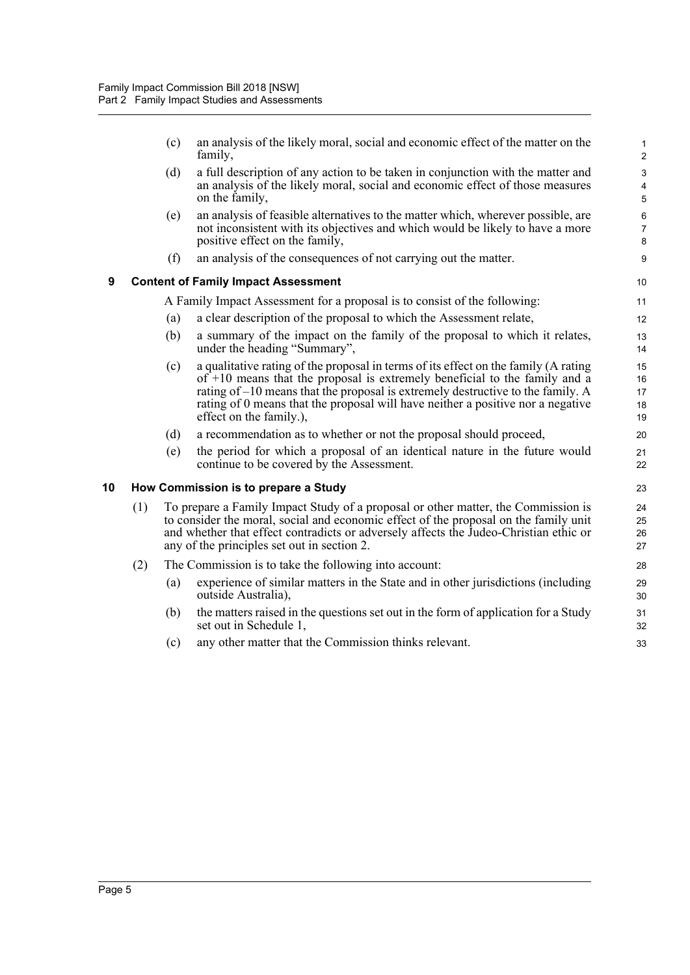<span id="page-12-1"></span><span id="page-12-0"></span>

|    |     | (c) | an analysis of the likely moral, social and economic effect of the matter on the<br>family,                                                                                                                                                                                                                                                                            | $\mathbf{1}$<br>$\boldsymbol{2}$                     |
|----|-----|-----|------------------------------------------------------------------------------------------------------------------------------------------------------------------------------------------------------------------------------------------------------------------------------------------------------------------------------------------------------------------------|------------------------------------------------------|
|    |     | (d) | a full description of any action to be taken in conjunction with the matter and<br>an analysis of the likely moral, social and economic effect of those measures<br>on the family,                                                                                                                                                                                     | $\mathsf 3$<br>$\overline{\mathbf{4}}$<br>$\sqrt{5}$ |
|    |     | (e) | an analysis of feasible alternatives to the matter which, wherever possible, are<br>not inconsistent with its objectives and which would be likely to have a more<br>positive effect on the family,                                                                                                                                                                    | 6<br>$\overline{7}$<br>8                             |
|    |     | (f) | an analysis of the consequences of not carrying out the matter.                                                                                                                                                                                                                                                                                                        | 9                                                    |
| 9  |     |     | <b>Content of Family Impact Assessment</b>                                                                                                                                                                                                                                                                                                                             | 10                                                   |
|    |     |     | A Family Impact Assessment for a proposal is to consist of the following:                                                                                                                                                                                                                                                                                              | 11                                                   |
|    |     | (a) | a clear description of the proposal to which the Assessment relate,                                                                                                                                                                                                                                                                                                    | 12                                                   |
|    |     | (b) | a summary of the impact on the family of the proposal to which it relates,<br>under the heading "Summary",                                                                                                                                                                                                                                                             | 13<br>14                                             |
|    |     | (c) | a qualitative rating of the proposal in terms of its effect on the family (A rating<br>of $+10$ means that the proposal is extremely beneficial to the family and a<br>rating of $-10$ means that the proposal is extremely destructive to the family. A<br>rating of 0 means that the proposal will have neither a positive nor a negative<br>effect on the family.), | 15<br>16<br>17<br>18<br>19                           |
|    |     | (d) | a recommendation as to whether or not the proposal should proceed,                                                                                                                                                                                                                                                                                                     | 20                                                   |
|    |     | (e) | the period for which a proposal of an identical nature in the future would<br>continue to be covered by the Assessment.                                                                                                                                                                                                                                                | 21<br>22                                             |
| 10 |     |     | How Commission is to prepare a Study                                                                                                                                                                                                                                                                                                                                   | 23                                                   |
|    | (1) |     | To prepare a Family Impact Study of a proposal or other matter, the Commission is<br>to consider the moral, social and economic effect of the proposal on the family unit<br>and whether that effect contradicts or adversely affects the Judeo-Christian ethic or<br>any of the principles set out in section 2.                                                      | 24<br>25<br>26<br>27                                 |
|    | (2) |     | The Commission is to take the following into account:                                                                                                                                                                                                                                                                                                                  | 28                                                   |
|    |     | (a) | experience of similar matters in the State and in other jurisdictions (including<br>outside Australia),                                                                                                                                                                                                                                                                | 29<br>30                                             |
|    |     | (b) | the matters raised in the questions set out in the form of application for a Study<br>set out in Schedule 1,                                                                                                                                                                                                                                                           | 31<br>32                                             |
|    |     | (c) | any other matter that the Commission thinks relevant.                                                                                                                                                                                                                                                                                                                  | 33                                                   |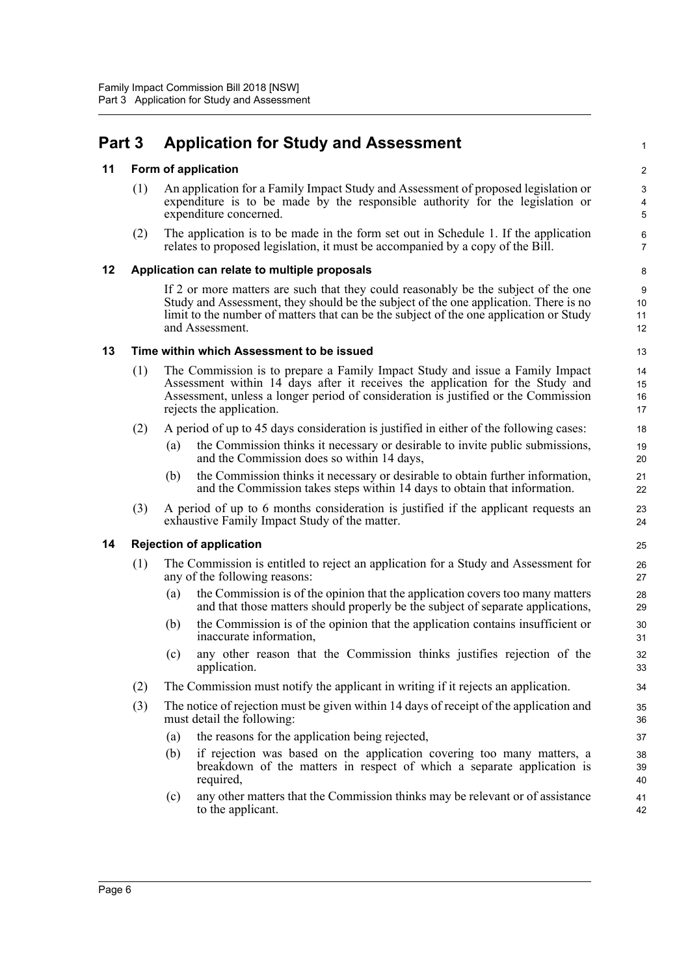# <span id="page-13-0"></span>**Part 3 Application for Study and Assessment**

#### <span id="page-13-1"></span>**11 Form of application**

(1) An application for a Family Impact Study and Assessment of proposed legislation or expenditure is to be made by the responsible authority for the legislation or expenditure concerned.

1

(2) The application is to be made in the form set out in Schedule 1. If the application relates to proposed legislation, it must be accompanied by a copy of the Bill.

#### <span id="page-13-2"></span>**12 Application can relate to multiple proposals**

If 2 or more matters are such that they could reasonably be the subject of the one Study and Assessment, they should be the subject of the one application. There is no limit to the number of matters that can be the subject of the one application or Study and Assessment.

#### <span id="page-13-3"></span>**13 Time within which Assessment to be issued**

- (1) The Commission is to prepare a Family Impact Study and issue a Family Impact Assessment within 14 days after it receives the application for the Study and Assessment, unless a longer period of consideration is justified or the Commission rejects the application.
- (2) A period of up to 45 days consideration is justified in either of the following cases:
	- (a) the Commission thinks it necessary or desirable to invite public submissions, and the Commission does so within 14 days,
	- (b) the Commission thinks it necessary or desirable to obtain further information, and the Commission takes steps within 14 days to obtain that information.
- (3) A period of up to 6 months consideration is justified if the applicant requests an exhaustive Family Impact Study of the matter.

#### <span id="page-13-4"></span>**14 Rejection of application**

- (1) The Commission is entitled to reject an application for a Study and Assessment for any of the following reasons:
	- (a) the Commission is of the opinion that the application covers too many matters and that those matters should properly be the subject of separate applications,
	- (b) the Commission is of the opinion that the application contains insufficient or inaccurate information,
	- (c) any other reason that the Commission thinks justifies rejection of the application.
- (2) The Commission must notify the applicant in writing if it rejects an application.
- (3) The notice of rejection must be given within 14 days of receipt of the application and must detail the following:
	- (a) the reasons for the application being rejected,
	- (b) if rejection was based on the application covering too many matters, a breakdown of the matters in respect of which a separate application is required,
	- (c) any other matters that the Commission thinks may be relevant or of assistance to the applicant.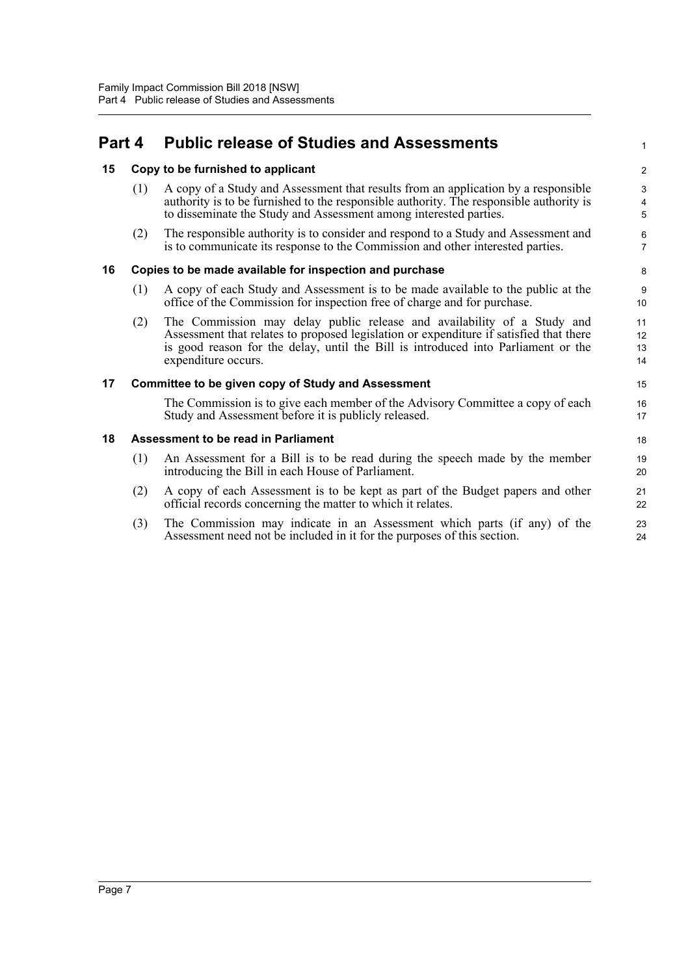## <span id="page-14-0"></span>**Part 4 Public release of Studies and Assessments**

#### <span id="page-14-1"></span>**15 Copy to be furnished to applicant**

| (1) | A copy of a Study and Assessment that results from an application by a responsible      |
|-----|-----------------------------------------------------------------------------------------|
|     | authority is to be furnished to the responsible authority. The responsible authority is |
|     | to disseminate the Study and Assessment among interested parties.                       |

1

(2) The responsible authority is to consider and respond to a Study and Assessment and is to communicate its response to the Commission and other interested parties.

#### <span id="page-14-2"></span>**16 Copies to be made available for inspection and purchase**

- (1) A copy of each Study and Assessment is to be made available to the public at the office of the Commission for inspection free of charge and for purchase.
- (2) The Commission may delay public release and availability of a Study and Assessment that relates to proposed legislation or expenditure if satisfied that there is good reason for the delay, until the Bill is introduced into Parliament or the expenditure occurs.

#### <span id="page-14-3"></span>**17 Committee to be given copy of Study and Assessment**

The Commission is to give each member of the Advisory Committee a copy of each Study and Assessment before it is publicly released.

#### <span id="page-14-4"></span>**18 Assessment to be read in Parliament**

- (1) An Assessment for a Bill is to be read during the speech made by the member introducing the Bill in each House of Parliament.
- (2) A copy of each Assessment is to be kept as part of the Budget papers and other official records concerning the matter to which it relates.
- (3) The Commission may indicate in an Assessment which parts (if any) of the Assessment need not be included in it for the purposes of this section.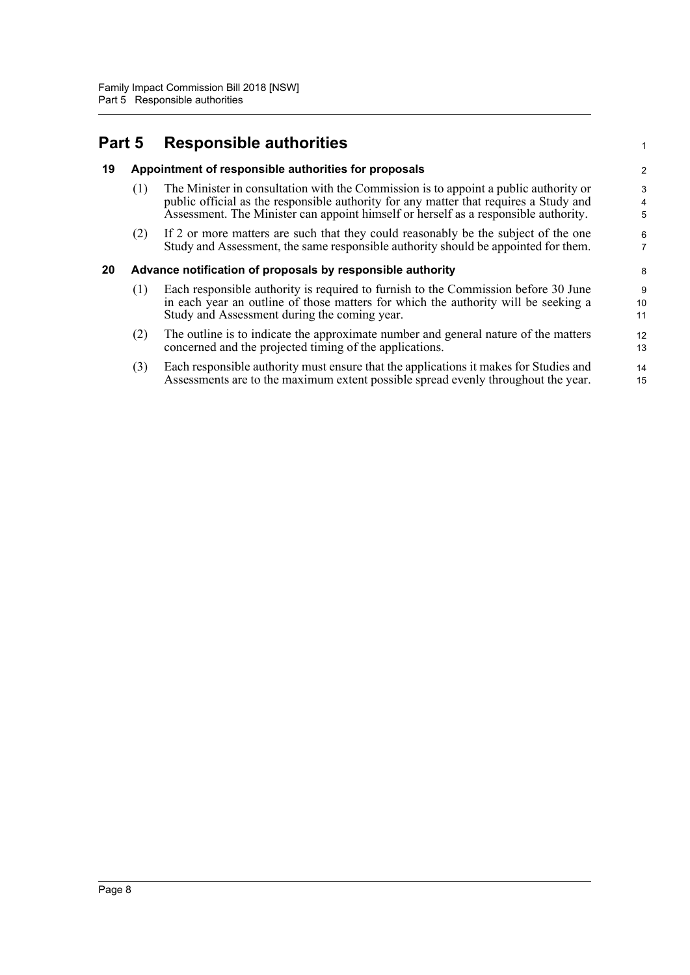### <span id="page-15-0"></span>**Part 5 Responsible authorities**

#### <span id="page-15-1"></span>**19 Appointment of responsible authorities for proposals**

(1) The Minister in consultation with the Commission is to appoint a public authority or public official as the responsible authority for any matter that requires a Study and Assessment. The Minister can appoint himself or herself as a responsible authority.

1

(2) If 2 or more matters are such that they could reasonably be the subject of the one Study and Assessment, the same responsible authority should be appointed for them.

#### <span id="page-15-2"></span>**20 Advance notification of proposals by responsible authority**

- (1) Each responsible authority is required to furnish to the Commission before 30 June in each year an outline of those matters for which the authority will be seeking a Study and Assessment during the coming year.
- (2) The outline is to indicate the approximate number and general nature of the matters concerned and the projected timing of the applications.
- (3) Each responsible authority must ensure that the applications it makes for Studies and Assessments are to the maximum extent possible spread evenly throughout the year.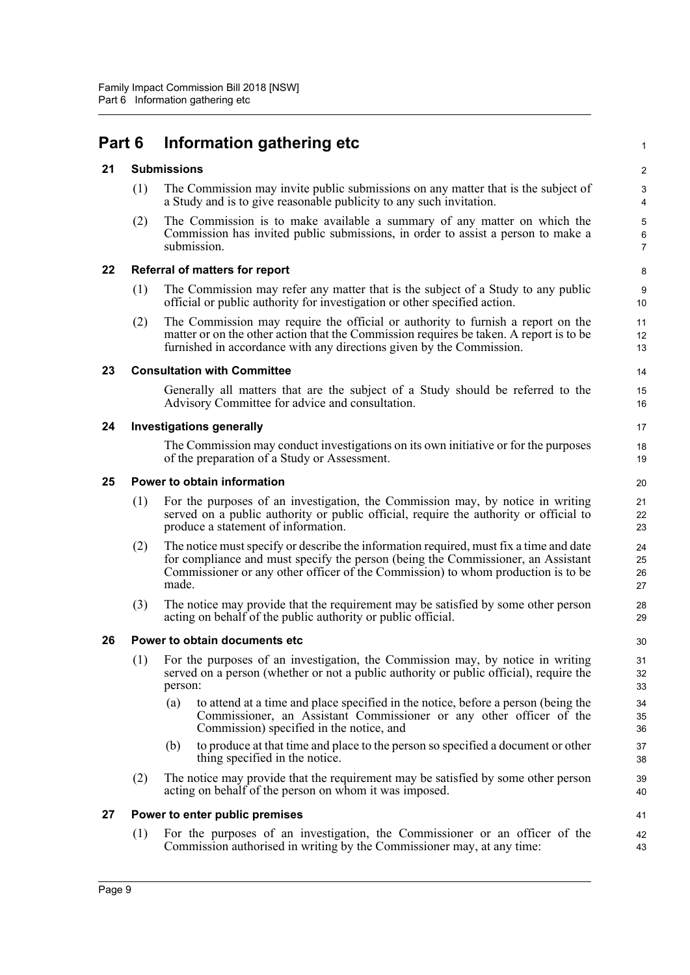## <span id="page-16-0"></span>**Part 6 Information gathering etc**

#### <span id="page-16-1"></span>**21 Submissions**

(1) The Commission may invite public submissions on any matter that is the subject of a Study and is to give reasonable publicity to any such invitation.

1

41 42 43

(2) The Commission is to make available a summary of any matter on which the Commission has invited public submissions, in order to assist a person to make a submission.

#### <span id="page-16-2"></span>**22 Referral of matters for report**

- (1) The Commission may refer any matter that is the subject of a Study to any public official or public authority for investigation or other specified action.
- (2) The Commission may require the official or authority to furnish a report on the matter or on the other action that the Commission requires be taken. A report is to be furnished in accordance with any directions given by the Commission.

#### <span id="page-16-3"></span>**23 Consultation with Committee**

Generally all matters that are the subject of a Study should be referred to the Advisory Committee for advice and consultation.

#### <span id="page-16-4"></span>**24 Investigations generally**

The Commission may conduct investigations on its own initiative or for the purposes of the preparation of a Study or Assessment.

#### <span id="page-16-5"></span>**25 Power to obtain information**

- (1) For the purposes of an investigation, the Commission may, by notice in writing served on a public authority or public official, require the authority or official to produce a statement of information.
- (2) The notice must specify or describe the information required, must fix a time and date for compliance and must specify the person (being the Commissioner, an Assistant Commissioner or any other officer of the Commission) to whom production is to be made.
- (3) The notice may provide that the requirement may be satisfied by some other person acting on behalf of the public authority or public official.

#### <span id="page-16-6"></span>**26 Power to obtain documents etc**

- (1) For the purposes of an investigation, the Commission may, by notice in writing served on a person (whether or not a public authority or public official), require the person:
	- (a) to attend at a time and place specified in the notice, before a person (being the Commissioner, an Assistant Commissioner or any other officer of the Commission) specified in the notice, and
	- (b) to produce at that time and place to the person so specified a document or other thing specified in the notice.
- (2) The notice may provide that the requirement may be satisfied by some other person acting on behalf of the person on whom it was imposed.

#### <span id="page-16-7"></span>**27 Power to enter public premises**

(1) For the purposes of an investigation, the Commissioner or an officer of the Commission authorised in writing by the Commissioner may, at any time: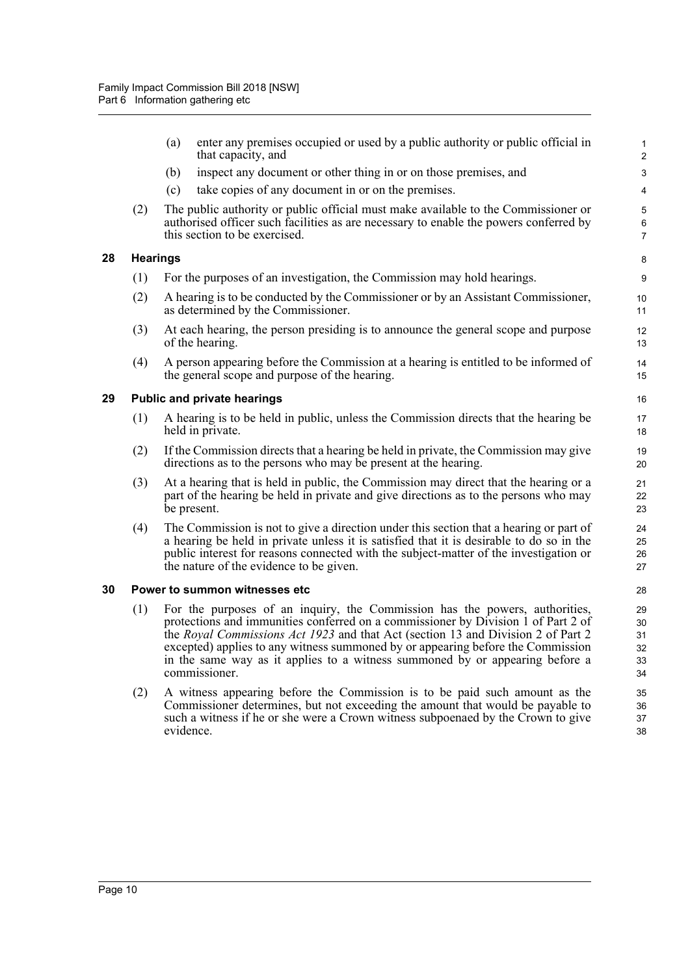<span id="page-17-2"></span><span id="page-17-1"></span><span id="page-17-0"></span>**28 Hearings**

|    |                                    | enter any premises occupied or used by a public authority or public official in<br>(a)<br>that capacity, and                                                                                                                                                                                                                                                                                                                              | 1<br>$\overline{\mathbf{c}}$     |  |  |  |
|----|------------------------------------|-------------------------------------------------------------------------------------------------------------------------------------------------------------------------------------------------------------------------------------------------------------------------------------------------------------------------------------------------------------------------------------------------------------------------------------------|----------------------------------|--|--|--|
|    |                                    | inspect any document or other thing in or on those premises, and<br>(b)                                                                                                                                                                                                                                                                                                                                                                   | 3                                |  |  |  |
|    |                                    | take copies of any document in or on the premises.<br>(c)                                                                                                                                                                                                                                                                                                                                                                                 | 4                                |  |  |  |
|    | (2)                                | The public authority or public official must make available to the Commissioner or<br>authorised officer such facilities as are necessary to enable the powers conferred by<br>this section to be exercised.                                                                                                                                                                                                                              | 5<br>6<br>7                      |  |  |  |
| 28 | <b>Hearings</b>                    |                                                                                                                                                                                                                                                                                                                                                                                                                                           | 8                                |  |  |  |
|    | (1)                                | For the purposes of an investigation, the Commission may hold hearings.                                                                                                                                                                                                                                                                                                                                                                   | 9                                |  |  |  |
|    | (2)                                | A hearing is to be conducted by the Commissioner or by an Assistant Commissioner,<br>as determined by the Commissioner.                                                                                                                                                                                                                                                                                                                   | 10<br>11                         |  |  |  |
|    | (3)                                | At each hearing, the person presiding is to announce the general scope and purpose<br>of the hearing.                                                                                                                                                                                                                                                                                                                                     | 12<br>13                         |  |  |  |
|    | (4)                                | A person appearing before the Commission at a hearing is entitled to be informed of<br>the general scope and purpose of the hearing.                                                                                                                                                                                                                                                                                                      | 14<br>15                         |  |  |  |
| 29 | <b>Public and private hearings</b> |                                                                                                                                                                                                                                                                                                                                                                                                                                           |                                  |  |  |  |
|    | (1)                                | A hearing is to be held in public, unless the Commission directs that the hearing be<br>held in private.                                                                                                                                                                                                                                                                                                                                  | 17<br>18                         |  |  |  |
|    | (2)                                | If the Commission directs that a hearing be held in private, the Commission may give<br>directions as to the persons who may be present at the hearing.                                                                                                                                                                                                                                                                                   | 19<br>20                         |  |  |  |
|    | (3)                                | At a hearing that is held in public, the Commission may direct that the hearing or a<br>part of the hearing be held in private and give directions as to the persons who may<br>be present.                                                                                                                                                                                                                                               | 21<br>22<br>23                   |  |  |  |
|    | (4)                                | The Commission is not to give a direction under this section that a hearing or part of<br>a hearing be held in private unless it is satisfied that it is desirable to do so in the<br>public interest for reasons connected with the subject-matter of the investigation or<br>the nature of the evidence to be given.                                                                                                                    | 24<br>25<br>26<br>27             |  |  |  |
| 30 |                                    | Power to summon witnesses etc                                                                                                                                                                                                                                                                                                                                                                                                             | 28                               |  |  |  |
|    | (1)                                | For the purposes of an inquiry, the Commission has the powers, authorities,<br>protections and immunities conferred on a commissioner by Division 1 of Part 2 of<br>the Royal Commissions Act 1923 and that Act (section 13 and Division 2 of Part 2)<br>excepted) applies to any witness summoned by or appearing before the Commission<br>in the same way as it applies to a witness summoned by or appearing before a<br>commissioner. | 29<br>30<br>31<br>32<br>33<br>34 |  |  |  |
|    | (2)                                | A witness appearing before the Commission is to be paid such amount as the<br>Commissioner determines, but not exceeding the amount that would be payable to<br>such a witness if he or she were a Crown witness subpoenaed by the Crown to give<br>evidence.                                                                                                                                                                             | 35<br>36<br>37<br>38             |  |  |  |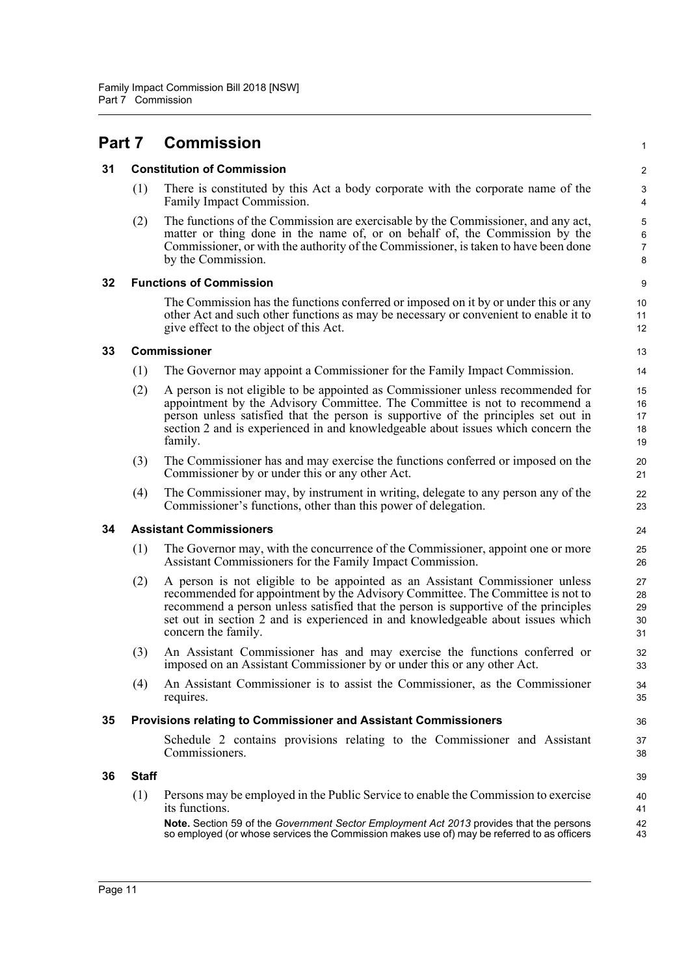<span id="page-18-6"></span><span id="page-18-5"></span><span id="page-18-4"></span><span id="page-18-3"></span><span id="page-18-2"></span><span id="page-18-1"></span><span id="page-18-0"></span>

| Part 7 |              | <b>Commission</b>                                                                                                                                                                                                                                                                                                                                               | $\mathbf{1}$                  |
|--------|--------------|-----------------------------------------------------------------------------------------------------------------------------------------------------------------------------------------------------------------------------------------------------------------------------------------------------------------------------------------------------------------|-------------------------------|
| 31     |              | <b>Constitution of Commission</b>                                                                                                                                                                                                                                                                                                                               | 2                             |
|        | (1)          | There is constituted by this Act a body corporate with the corporate name of the<br>Family Impact Commission.                                                                                                                                                                                                                                                   | 3<br>4                        |
|        | (2)          | The functions of the Commission are exercisable by the Commissioner, and any act,<br>matter or thing done in the name of, or on behalf of, the Commission by the<br>Commissioner, or with the authority of the Commissioner, is taken to have been done<br>by the Commission.                                                                                   | 5<br>6<br>$\overline{7}$<br>8 |
| 32     |              | <b>Functions of Commission</b>                                                                                                                                                                                                                                                                                                                                  | 9                             |
|        |              | The Commission has the functions conferred or imposed on it by or under this or any<br>other Act and such other functions as may be necessary or convenient to enable it to<br>give effect to the object of this Act.                                                                                                                                           | 10<br>11<br>12                |
| 33     |              | <b>Commissioner</b>                                                                                                                                                                                                                                                                                                                                             | 13                            |
|        | (1)          | The Governor may appoint a Commissioner for the Family Impact Commission.                                                                                                                                                                                                                                                                                       | 14                            |
|        | (2)          | A person is not eligible to be appointed as Commissioner unless recommended for<br>appointment by the Advisory Committee. The Committee is not to recommend a<br>person unless satisfied that the person is supportive of the principles set out in<br>section 2 and is experienced in and knowledgeable about issues which concern the<br>family.              | 15<br>16<br>17<br>18<br>19    |
|        | (3)          | The Commissioner has and may exercise the functions conferred or imposed on the<br>Commissioner by or under this or any other Act.                                                                                                                                                                                                                              | 20<br>21                      |
|        | (4)          | The Commissioner may, by instrument in writing, delegate to any person any of the<br>Commissioner's functions, other than this power of delegation.                                                                                                                                                                                                             | 22<br>23                      |
| 34     |              | <b>Assistant Commissioners</b>                                                                                                                                                                                                                                                                                                                                  | 24                            |
|        | (1)          | The Governor may, with the concurrence of the Commissioner, appoint one or more<br>Assistant Commissioners for the Family Impact Commission.                                                                                                                                                                                                                    | 25<br>26                      |
|        | (2)          | A person is not eligible to be appointed as an Assistant Commissioner unless<br>recommended for appointment by the Advisory Committee. The Committee is not to<br>recommend a person unless satisfied that the person is supportive of the principles<br>set out in section 2 and is experienced in and knowledgeable about issues which<br>concern the family. | 27<br>28<br>29<br>30<br>31    |
|        | (3)          | An Assistant Commissioner has and may exercise the functions conferred or<br>imposed on an Assistant Commissioner by or under this or any other Act.                                                                                                                                                                                                            | 32<br>33                      |
|        | (4)          | An Assistant Commissioner is to assist the Commissioner, as the Commissioner<br>requires.                                                                                                                                                                                                                                                                       | 34<br>35                      |
| 35     |              | Provisions relating to Commissioner and Assistant Commissioners                                                                                                                                                                                                                                                                                                 | 36                            |
|        |              | Schedule 2 contains provisions relating to the Commissioner and Assistant<br>Commissioners.                                                                                                                                                                                                                                                                     | 37<br>38                      |
| 36     | <b>Staff</b> |                                                                                                                                                                                                                                                                                                                                                                 | 39                            |
|        | (1)          | Persons may be employed in the Public Service to enable the Commission to exercise<br>its functions.                                                                                                                                                                                                                                                            | 40<br>41                      |
|        |              | Note. Section 59 of the Government Sector Employment Act 2013 provides that the persons<br>so employed (or whose services the Commission makes use of) may be referred to as officers                                                                                                                                                                           | 42<br>43                      |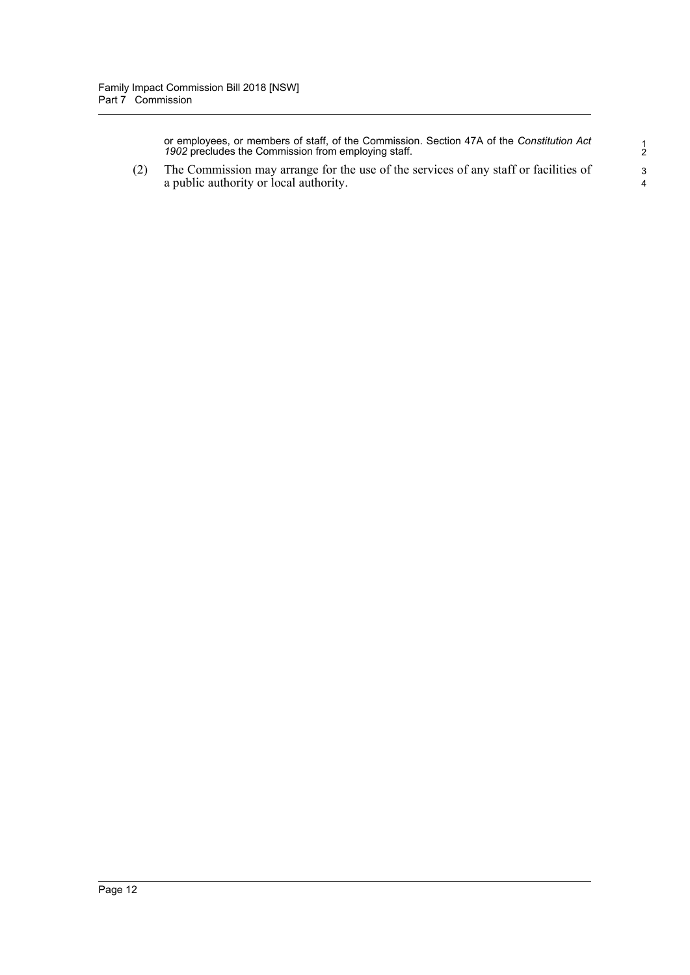or employees, or members of staff, of the Commission. Section 47A of the *Constitution Act 1902* precludes the Commission from employing staff.

(2) The Commission may arrange for the use of the services of any staff or facilities of a public authority or local authority.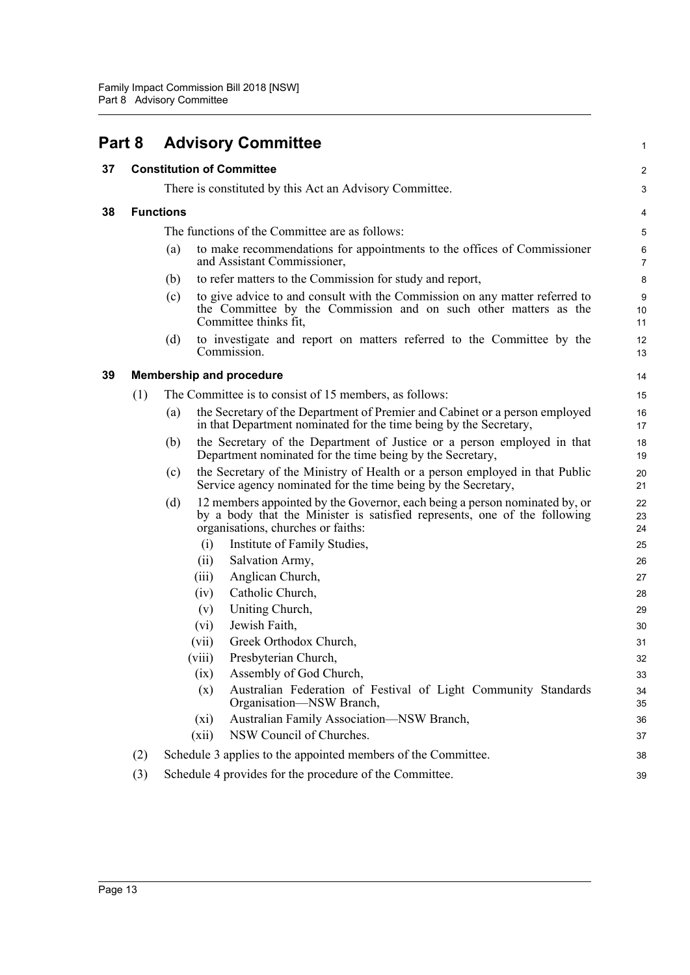<span id="page-20-3"></span><span id="page-20-2"></span><span id="page-20-1"></span><span id="page-20-0"></span>

| Part 8 |     | <b>Advisory Committee</b>                                                                                                                                                                            | 1                   |
|--------|-----|------------------------------------------------------------------------------------------------------------------------------------------------------------------------------------------------------|---------------------|
| 37     |     | <b>Constitution of Committee</b>                                                                                                                                                                     | 2                   |
|        |     | There is constituted by this Act an Advisory Committee.                                                                                                                                              | 3                   |
| 38     |     | <b>Functions</b>                                                                                                                                                                                     |                     |
|        |     |                                                                                                                                                                                                      | 4                   |
|        |     | The functions of the Committee are as follows:                                                                                                                                                       | 5                   |
|        |     | (a)<br>to make recommendations for appointments to the offices of Commissioner<br>and Assistant Commissioner,                                                                                        | 6<br>$\overline{7}$ |
|        |     | to refer matters to the Commission for study and report,<br>(b)                                                                                                                                      | 8                   |
|        |     | to give advice to and consult with the Commission on any matter referred to<br>(c)<br>the Committee by the Commission and on such other matters as the<br>Committee thinks fit,                      | $9\,$<br>10<br>11   |
|        |     | to investigate and report on matters referred to the Committee by the<br>(d)<br>Commission.                                                                                                          | 12<br>13            |
| 39     |     | <b>Membership and procedure</b>                                                                                                                                                                      | 14                  |
|        | (1) | The Committee is to consist of 15 members, as follows:                                                                                                                                               | 15                  |
|        |     | the Secretary of the Department of Premier and Cabinet or a person employed<br>(a)<br>in that Department nominated for the time being by the Secretary,                                              | 16<br>17            |
|        |     | the Secretary of the Department of Justice or a person employed in that<br>(b)<br>Department nominated for the time being by the Secretary,                                                          | 18<br>19            |
|        |     | the Secretary of the Ministry of Health or a person employed in that Public<br>(c)<br>Service agency nominated for the time being by the Secretary,                                                  | 20<br>21            |
|        |     | 12 members appointed by the Governor, each being a person nominated by, or<br>(d)<br>by a body that the Minister is satisfied represents, one of the following<br>organisations, churches or faiths: | 22<br>23<br>24      |
|        |     | Institute of Family Studies,<br>(i)                                                                                                                                                                  | 25                  |
|        |     | Salvation Army,<br>(ii)                                                                                                                                                                              | 26                  |
|        |     | Anglican Church,<br>(iii)                                                                                                                                                                            | 27                  |
|        |     | Catholic Church,<br>(iv)                                                                                                                                                                             | 28                  |
|        |     | Uniting Church,<br>(v)                                                                                                                                                                               | 29                  |
|        |     | Jewish Faith,<br>$(v_i)$                                                                                                                                                                             | 30                  |
|        |     | (vii)<br>Greek Orthodox Church,                                                                                                                                                                      | 31                  |
|        |     | Presbyterian Church,<br>(viii)                                                                                                                                                                       | 32                  |
|        |     | Assembly of God Church,<br>(ix)                                                                                                                                                                      | 33                  |
|        |     | Australian Federation of Festival of Light Community Standards<br>(x)<br>Organisation—NSW Branch,                                                                                                    | 34<br>35            |
|        |     | Australian Family Association-NSW Branch,<br>$(x_i)$                                                                                                                                                 | 36                  |
|        |     | NSW Council of Churches.<br>(xii)                                                                                                                                                                    | 37                  |
|        | (2) | Schedule 3 applies to the appointed members of the Committee.                                                                                                                                        | 38                  |
|        | (3) | Schedule 4 provides for the procedure of the Committee.                                                                                                                                              | 39                  |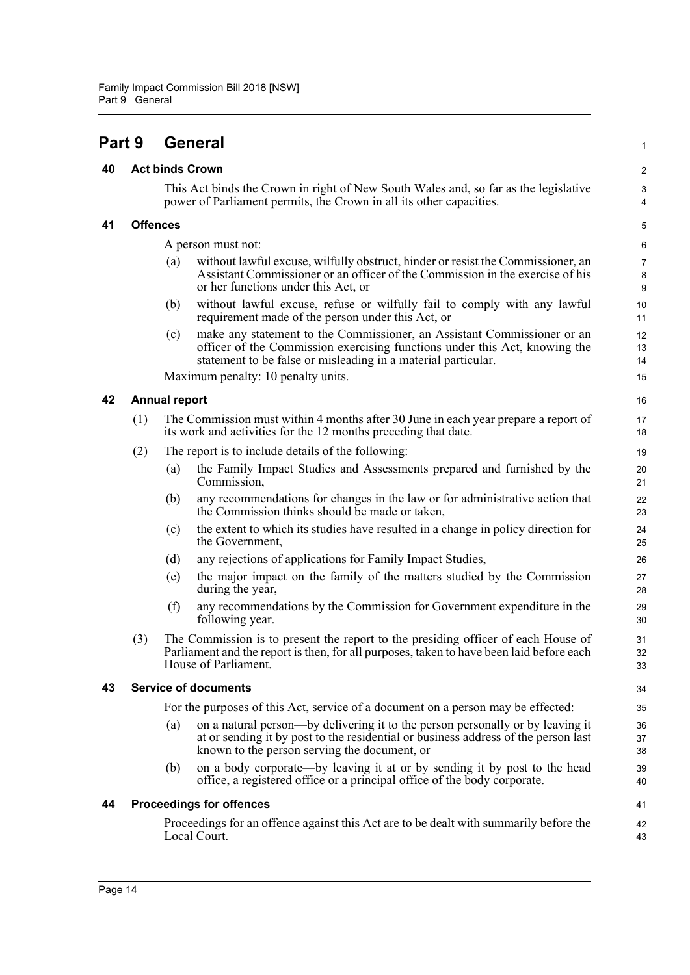<span id="page-21-0"></span>**Part 9 General**

<span id="page-21-1"></span>**40 Act binds Crown**

#### <span id="page-21-3"></span><span id="page-21-2"></span>This Act binds the Crown in right of New South Wales and, so far as the legislative power of Parliament permits, the Crown in all its other capacities. **41 Offences** A person must not: (a) without lawful excuse, wilfully obstruct, hinder or resist the Commissioner, an Assistant Commissioner or an officer of the Commission in the exercise of his or her functions under this Act, or (b) without lawful excuse, refuse or wilfully fail to comply with any lawful requirement made of the person under this Act, or (c) make any statement to the Commissioner, an Assistant Commissioner or an officer of the Commission exercising functions under this Act, knowing the statement to be false or misleading in a material particular. Maximum penalty: 10 penalty units. **42 Annual report** (1) The Commission must within 4 months after 30 June in each year prepare a report of its work and activities for the 12 months preceding that date. (2) The report is to include details of the following: (a) the Family Impact Studies and Assessments prepared and furnished by the Commission, (b) any recommendations for changes in the law or for administrative action that the Commission thinks should be made or taken, (c) the extent to which its studies have resulted in a change in policy direction for the Government, (d) any rejections of applications for Family Impact Studies, (e) the major impact on the family of the matters studied by the Commission during the year, (f) any recommendations by the Commission for Government expenditure in the following year. (3) The Commission is to present the report to the presiding officer of each House of Parliament and the report is then, for all purposes, taken to have been laid before each House of Parliament. **43 Service of documents** For the purposes of this Act, service of a document on a person may be effected:

(a) on a natural person—by delivering it to the person personally or by leaving it at or sending it by post to the residential or business address of the person last known to the person serving the document, or

1

41 42 43

(b) on a body corporate—by leaving it at or by sending it by post to the head office, a registered office or a principal office of the body corporate.

#### <span id="page-21-5"></span><span id="page-21-4"></span>**44 Proceedings for offences**

Proceedings for an offence against this Act are to be dealt with summarily before the Local Court.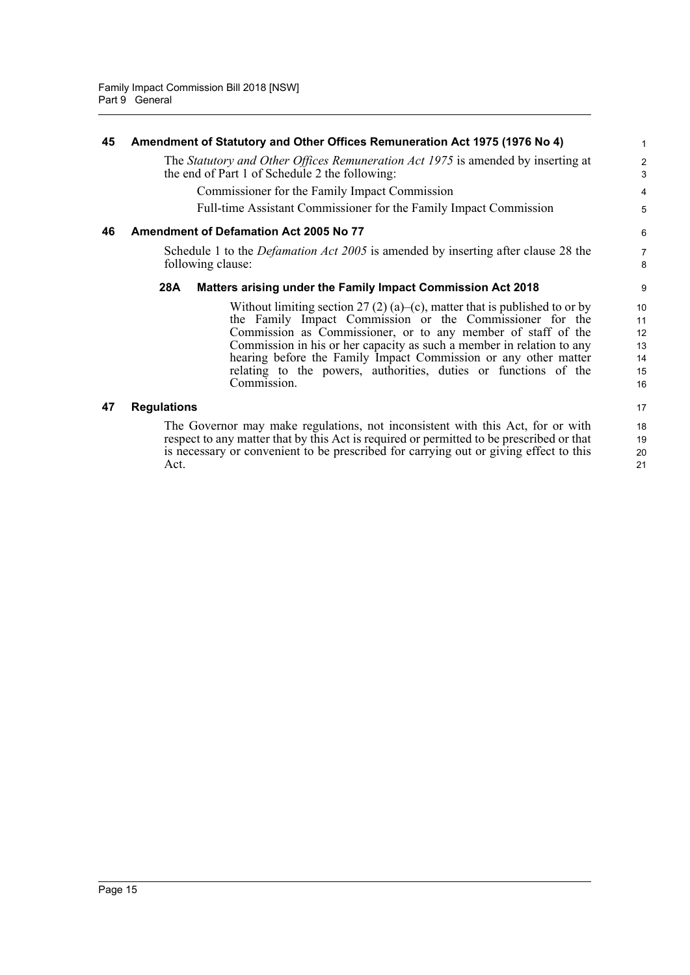<span id="page-22-2"></span><span id="page-22-1"></span><span id="page-22-0"></span>

| 45 | Amendment of Statutory and Other Offices Remuneration Act 1975 (1976 No 4)                                                                                                                                                                                                                                                                                                                                                           | 1                                      |
|----|--------------------------------------------------------------------------------------------------------------------------------------------------------------------------------------------------------------------------------------------------------------------------------------------------------------------------------------------------------------------------------------------------------------------------------------|----------------------------------------|
|    | The Statutory and Other Offices Remuneration Act 1975 is amended by inserting at<br>the end of Part 1 of Schedule 2 the following:                                                                                                                                                                                                                                                                                                   | $\overline{a}$<br>3                    |
|    | Commissioner for the Family Impact Commission                                                                                                                                                                                                                                                                                                                                                                                        | 4                                      |
|    | Full-time Assistant Commissioner for the Family Impact Commission                                                                                                                                                                                                                                                                                                                                                                    | 5                                      |
| 46 | Amendment of Defamation Act 2005 No 77                                                                                                                                                                                                                                                                                                                                                                                               | 6                                      |
|    | Schedule 1 to the <i>Defamation Act 2005</i> is amended by inserting after clause 28 the<br>following clause:                                                                                                                                                                                                                                                                                                                        | 7<br>8                                 |
|    | 28A<br>Matters arising under the Family Impact Commission Act 2018                                                                                                                                                                                                                                                                                                                                                                   | 9                                      |
|    | Without limiting section 27 (2) (a)–(c), matter that is published to or by<br>the Family Impact Commission or the Commissioner for the<br>Commission as Commissioner, or to any member of staff of the<br>Commission in his or her capacity as such a member in relation to any<br>hearing before the Family Impact Commission or any other matter<br>relating to the powers, authorities, duties or functions of the<br>Commission. | 10<br>11<br>12<br>13<br>14<br>15<br>16 |
| 47 | <b>Regulations</b>                                                                                                                                                                                                                                                                                                                                                                                                                   | 17                                     |
|    | The Governor may make regulations, not inconsistent with this Act, for or with<br>respect to any matter that by this Act is required or permitted to be prescribed or that<br>is necessary or convenient to be prescribed for carrying out or giving effect to this<br>Act.                                                                                                                                                          | 18<br>19<br>20<br>21                   |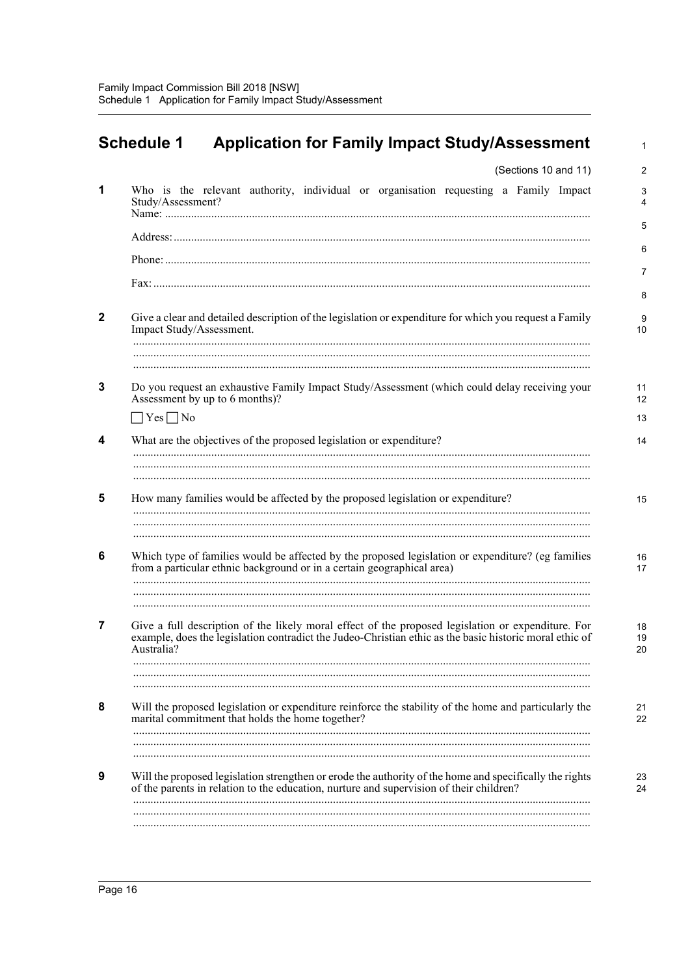<span id="page-23-0"></span>

| (Sections 10 and 11)                                                                                                                                                                                                        |
|-----------------------------------------------------------------------------------------------------------------------------------------------------------------------------------------------------------------------------|
|                                                                                                                                                                                                                             |
| Who is the relevant authority, individual or organisation requesting a Family Impact<br>Study/Assessment?                                                                                                                   |
|                                                                                                                                                                                                                             |
|                                                                                                                                                                                                                             |
|                                                                                                                                                                                                                             |
| Give a clear and detailed description of the legislation or expenditure for which you request a Family<br>Impact Study/Assessment.                                                                                          |
|                                                                                                                                                                                                                             |
| Do you request an exhaustive Family Impact Study/Assessment (which could delay receiving your<br>Assessment by up to 6 months)?                                                                                             |
| $\Box$ Yes $\Box$ No                                                                                                                                                                                                        |
| What are the objectives of the proposed legislation or expenditure?                                                                                                                                                         |
|                                                                                                                                                                                                                             |
| How many families would be affected by the proposed legislation or expenditure?                                                                                                                                             |
| Which type of families would be affected by the proposed legislation or expenditure? (eg families<br>from a particular ethnic background or in a certain geographical area)                                                 |
| Give a full description of the likely moral effect of the proposed legislation or expenditure. For<br>example, does the legislation contradict the Judeo-Christian ethic as the basic historic moral ethic of<br>Australia? |
|                                                                                                                                                                                                                             |
| Will the proposed legislation or expenditure reinforce the stability of the home and particularly the<br>marital commitment that holds the home together?                                                                   |
|                                                                                                                                                                                                                             |
| Will the proposed legislation strengthen or erode the authority of the home and specifically the rights<br>of the parents in relation to the education, nurture and supervision of their children?                          |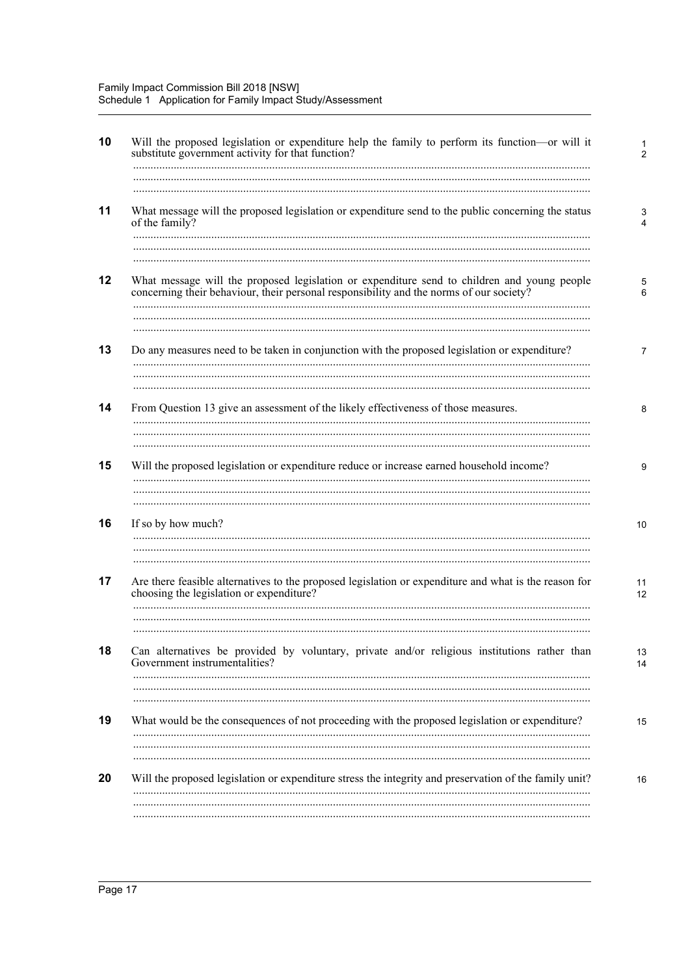| What message will the proposed legislation or expenditure send to the public concerning the status<br>of the family?                                                                   |
|----------------------------------------------------------------------------------------------------------------------------------------------------------------------------------------|
| What message will the proposed legislation or expenditure send to children and young people<br>concerning their behaviour, their personal responsibility and the norms of our society? |
| Do any measures need to be taken in conjunction with the proposed legislation or expenditure?                                                                                          |
|                                                                                                                                                                                        |
| From Question 13 give an assessment of the likely effectiveness of those measures.                                                                                                     |
| Will the proposed legislation or expenditure reduce or increase earned household income?                                                                                               |
| If so by how much?                                                                                                                                                                     |
|                                                                                                                                                                                        |
| Are there feasible alternatives to the proposed legislation or expenditure and what is the reason for<br>choosing the legislation or expenditure?                                      |
| Can alternatives be provided by voluntary, private and/or religious institutions rather than<br>Government instrumentalities?                                                          |
| What would be the consequences of not proceeding with the proposed legislation or expenditure?                                                                                         |
|                                                                                                                                                                                        |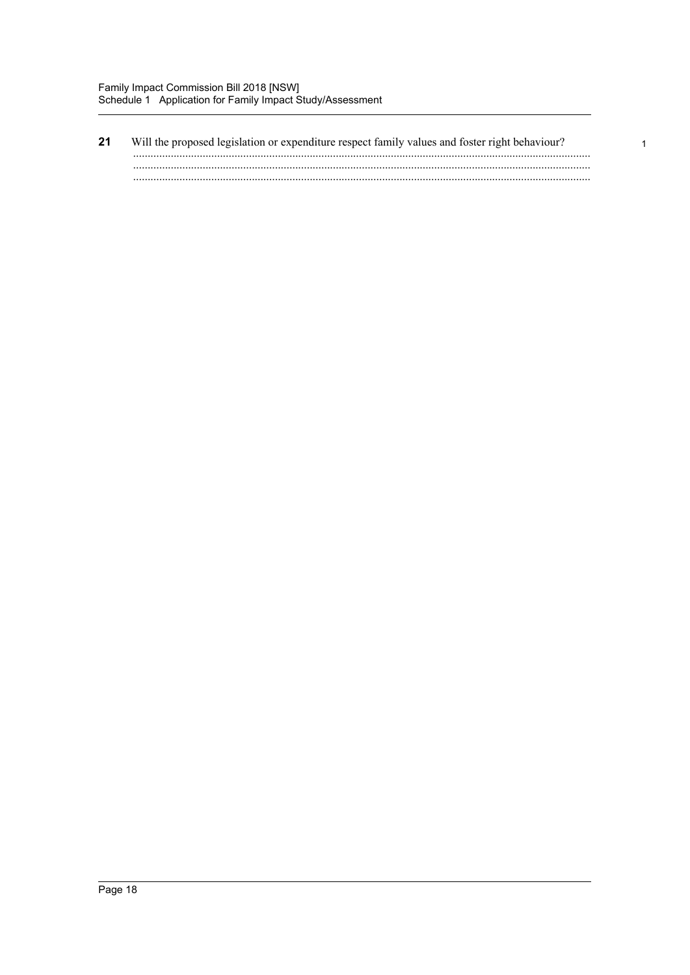#### $21$

 $\mathbf 1$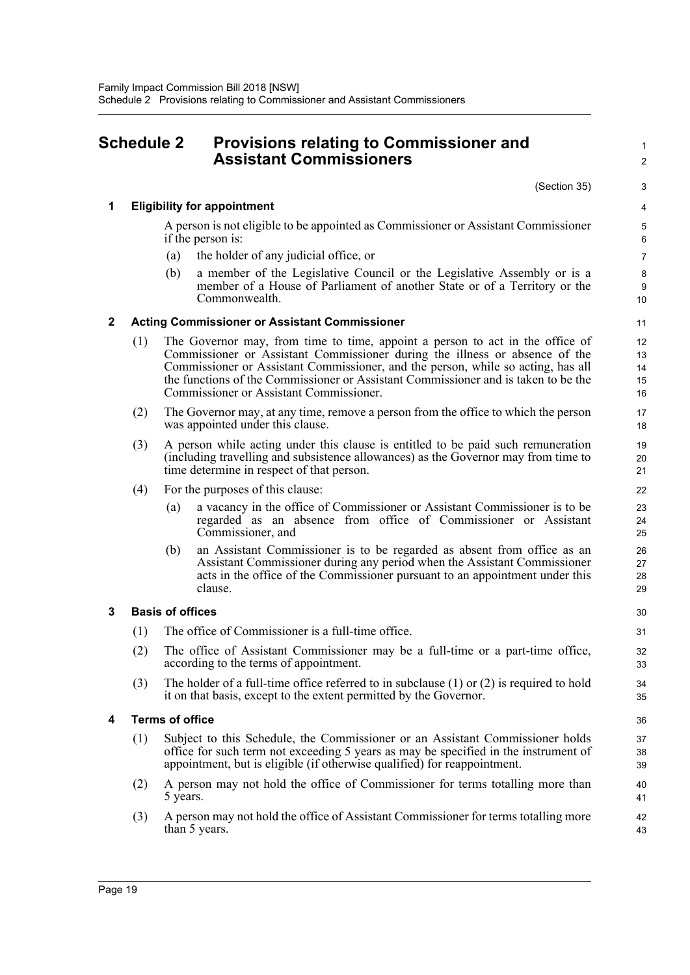Family Impact Commission Bill 2018 [NSW]

<span id="page-26-0"></span>Schedule 2 Provisions relating to Commissioner and Assistant Commissioners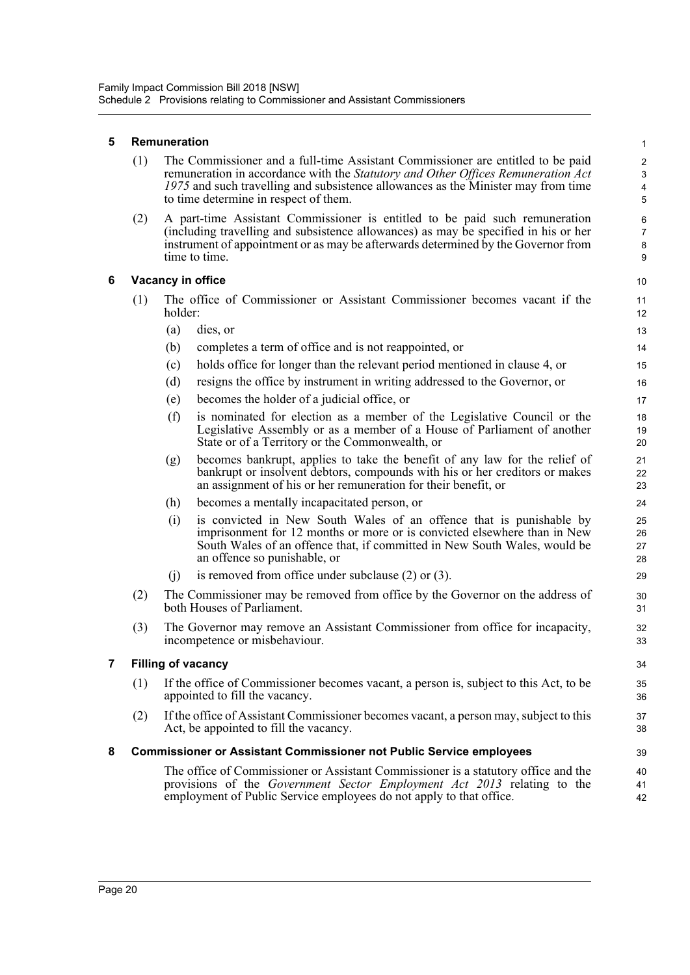#### **5 Remuneration**

| (1) | The Commissioner and a full-time Assistant Commissioner are entitled to be paid   |
|-----|-----------------------------------------------------------------------------------|
|     | remuneration in accordance with the Statutory and Other Offices Remuneration Act  |
|     | 1975 and such travelling and subsistence allowances as the Minister may from time |
|     | to time determine in respect of them.                                             |

(2) A part-time Assistant Commissioner is entitled to be paid such remuneration (including travelling and subsistence allowances) as may be specified in his or her instrument of appointment or as may be afterwards determined by the Governor from time to time.

#### **6 Vacancy in office**

- (1) The office of Commissioner or Assistant Commissioner becomes vacant if the holder:
	- (a) dies, or
	- (b) completes a term of office and is not reappointed, or
	- (c) holds office for longer than the relevant period mentioned in clause 4, or
	- (d) resigns the office by instrument in writing addressed to the Governor, or
	- (e) becomes the holder of a judicial office, or
	- (f) is nominated for election as a member of the Legislative Council or the Legislative Assembly or as a member of a House of Parliament of another State or of a Territory or the Commonwealth, or
	- (g) becomes bankrupt, applies to take the benefit of any law for the relief of bankrupt or insolvent debtors, compounds with his or her creditors or makes an assignment of his or her remuneration for their benefit, or
	- (h) becomes a mentally incapacitated person, or
	- (i) is convicted in New South Wales of an offence that is punishable by imprisonment for 12 months or more or is convicted elsewhere than in New South Wales of an offence that, if committed in New South Wales, would be an offence so punishable, or
	- (j) is removed from office under subclause (2) or (3).
- (2) The Commissioner may be removed from office by the Governor on the address of both Houses of Parliament.
- (3) The Governor may remove an Assistant Commissioner from office for incapacity, incompetence or misbehaviour.

#### **7 Filling of vacancy**

- (1) If the office of Commissioner becomes vacant, a person is, subject to this Act, to be appointed to fill the vacancy.
- (2) If the office of Assistant Commissioner becomes vacant, a person may, subject to this Act, be appointed to fill the vacancy.

#### **8 Commissioner or Assistant Commissioner not Public Service employees**

The office of Commissioner or Assistant Commissioner is a statutory office and the provisions of the *Government Sector Employment Act 2013* relating to the employment of Public Service employees do not apply to that office.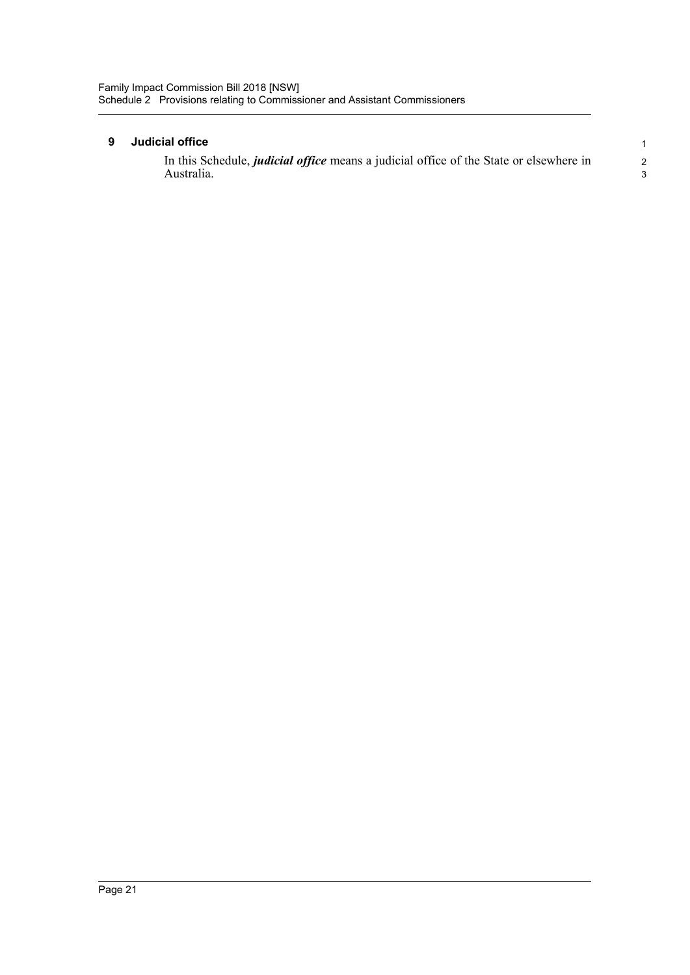#### **9 Judicial office**

In this Schedule, *judicial office* means a judicial office of the State or elsewhere in Australia.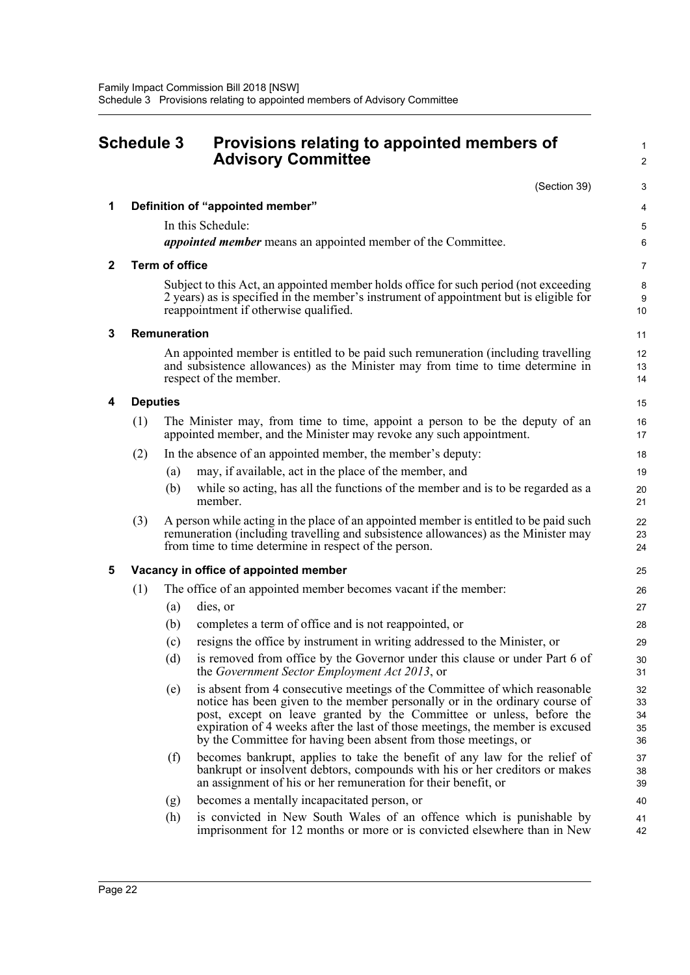<span id="page-29-0"></span>

| <b>Schedule 3</b> |                                       |                       | Provisions relating to appointed members of<br><b>Advisory Committee</b>                                                                                                                                                                                                                                                                                                              |                            |
|-------------------|---------------------------------------|-----------------------|---------------------------------------------------------------------------------------------------------------------------------------------------------------------------------------------------------------------------------------------------------------------------------------------------------------------------------------------------------------------------------------|----------------------------|
|                   |                                       |                       | (Section 39)                                                                                                                                                                                                                                                                                                                                                                          | 3                          |
| 1                 |                                       |                       | Definition of "appointed member"                                                                                                                                                                                                                                                                                                                                                      | 4                          |
|                   |                                       |                       | In this Schedule:                                                                                                                                                                                                                                                                                                                                                                     | 5                          |
|                   |                                       |                       | appointed member means an appointed member of the Committee.                                                                                                                                                                                                                                                                                                                          | 6                          |
| $\mathbf{2}$      |                                       | <b>Term of office</b> |                                                                                                                                                                                                                                                                                                                                                                                       | 7                          |
|                   |                                       |                       | Subject to this Act, an appointed member holds office for such period (not exceeding<br>2 years) as is specified in the member's instrument of appointment but is eligible for<br>reappointment if otherwise qualified.                                                                                                                                                               | 8<br>9<br>10               |
| 3                 |                                       | Remuneration          |                                                                                                                                                                                                                                                                                                                                                                                       | 11                         |
|                   |                                       |                       | An appointed member is entitled to be paid such remuneration (including travelling<br>and subsistence allowances) as the Minister may from time to time determine in<br>respect of the member.                                                                                                                                                                                        | 12<br>13<br>14             |
| 4                 |                                       | <b>Deputies</b>       |                                                                                                                                                                                                                                                                                                                                                                                       | 15                         |
|                   | (1)                                   |                       | The Minister may, from time to time, appoint a person to be the deputy of an<br>appointed member, and the Minister may revoke any such appointment.                                                                                                                                                                                                                                   | 16<br>17                   |
|                   | (2)                                   |                       | In the absence of an appointed member, the member's deputy:                                                                                                                                                                                                                                                                                                                           | 18                         |
|                   |                                       | (a)                   | may, if available, act in the place of the member, and                                                                                                                                                                                                                                                                                                                                | 19                         |
|                   |                                       | (b)                   | while so acting, has all the functions of the member and is to be regarded as a<br>member.                                                                                                                                                                                                                                                                                            | 20<br>21                   |
|                   | (3)                                   |                       | A person while acting in the place of an appointed member is entitled to be paid such<br>remuneration (including travelling and subsistence allowances) as the Minister may<br>from time to time determine in respect of the person.                                                                                                                                                  | 22<br>23<br>24             |
| 5                 | Vacancy in office of appointed member |                       |                                                                                                                                                                                                                                                                                                                                                                                       |                            |
|                   | (1)                                   |                       | The office of an appointed member becomes vacant if the member:                                                                                                                                                                                                                                                                                                                       | 26                         |
|                   |                                       | (a)                   | dies, or                                                                                                                                                                                                                                                                                                                                                                              | 27                         |
|                   |                                       | (b)                   | completes a term of office and is not reappointed, or                                                                                                                                                                                                                                                                                                                                 | 28                         |
|                   |                                       | (c)                   | resigns the office by instrument in writing addressed to the Minister, or                                                                                                                                                                                                                                                                                                             | 29                         |
|                   |                                       | (d)                   | is removed from office by the Governor under this clause or under Part 6 of<br>the Government Sector Employment Act 2013, or                                                                                                                                                                                                                                                          | 30<br>31                   |
|                   |                                       | (e)                   | is absent from 4 consecutive meetings of the Committee of which reasonable<br>notice has been given to the member personally or in the ordinary course of<br>post, except on leave granted by the Committee or unless, before the<br>expiration of 4 weeks after the last of those meetings, the member is excused<br>by the Committee for having been absent from those meetings, or | 32<br>33<br>34<br>35<br>36 |
|                   |                                       | (f)                   | becomes bankrupt, applies to take the benefit of any law for the relief of<br>bankrupt or insolvent debtors, compounds with his or her creditors or makes<br>an assignment of his or her remuneration for their benefit, or                                                                                                                                                           | 37<br>38<br>39             |
|                   |                                       | (g)                   | becomes a mentally incapacitated person, or                                                                                                                                                                                                                                                                                                                                           | 40                         |
|                   |                                       | (h)                   | is convicted in New South Wales of an offence which is punishable by<br>imprisonment for 12 months or more or is convicted elsewhere than in New                                                                                                                                                                                                                                      | 41<br>42                   |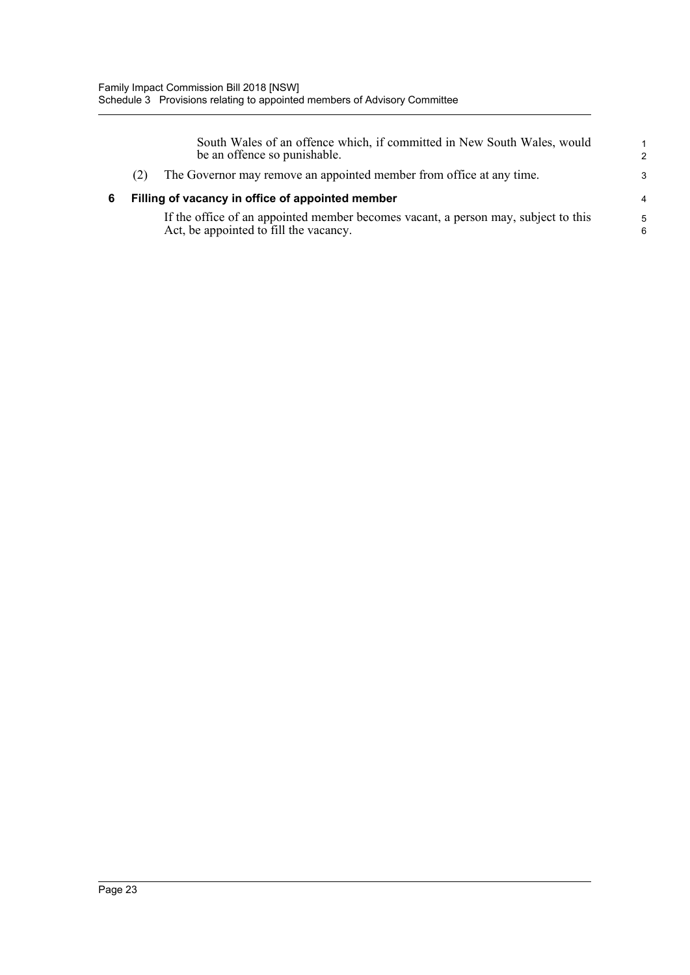| South Wales of an offence which, if committed in New South Wales, would<br>be an offence so punishable.                      | $\mathbf{1}$<br>$\mathcal{P}$ |
|------------------------------------------------------------------------------------------------------------------------------|-------------------------------|
| The Governor may remove an appointed member from office at any time.<br>(2)                                                  | 3                             |
| Filling of vacancy in office of appointed member                                                                             | $\overline{4}$                |
| If the office of an appointed member becomes vacant, a person may, subject to this<br>Act, be appointed to fill the vacancy. | 5<br>6                        |